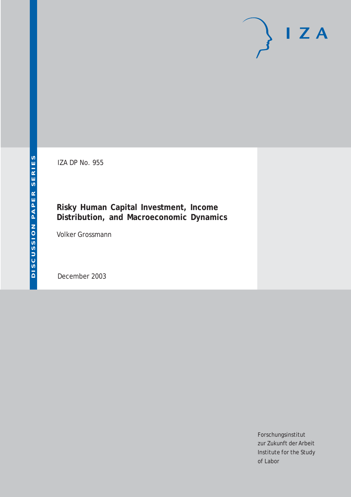# $I Z A$

IZA DP No. 955

## **Risky Human Capital Investment, Income Distribution, and Macroeconomic Dynamics**

Volker Grossmann

December 2003

Forschungsinstitut zur Zukunft der Arbeit Institute for the Study of Labor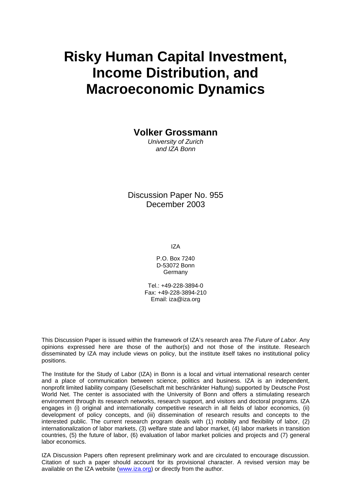# **Risky Human Capital Investment, Income Distribution, and Macroeconomic Dynamics**

**Volker Grossmann** 

*University of Zurich and IZA Bonn* 

Discussion Paper No. 955 December 2003

IZA

P.O. Box 7240 D-53072 Bonn Germany

Tel.: +49-228-3894-0 Fax: +49-228-3894-210 Email: [iza@iza.org](mailto:iza@iza.org)

This Discussion Paper is issued within the framework of IZA's research area *The Future of Labor.* Any opinions expressed here are those of the author(s) and not those of the institute. Research disseminated by IZA may include views on policy, but the institute itself takes no institutional policy positions.

The Institute for the Study of Labor (IZA) in Bonn is a local and virtual international research center and a place of communication between science, politics and business. IZA is an independent, nonprofit limited liability company (Gesellschaft mit beschränkter Haftung) supported by Deutsche Post World Net. The center is associated with the University of Bonn and offers a stimulating research environment through its research networks, research support, and visitors and doctoral programs. IZA engages in (i) original and internationally competitive research in all fields of labor economics, (ii) development of policy concepts, and (iii) dissemination of research results and concepts to the interested public. The current research program deals with (1) mobility and flexibility of labor, (2) internationalization of labor markets, (3) welfare state and labor market, (4) labor markets in transition countries, (5) the future of labor, (6) evaluation of labor market policies and projects and (7) general labor economics.

IZA Discussion Papers often represent preliminary work and are circulated to encourage discussion. Citation of such a paper should account for its provisional character. A revised version may be available on the IZA website ([www.iza.org](http://www.iza.org/)) or directly from the author.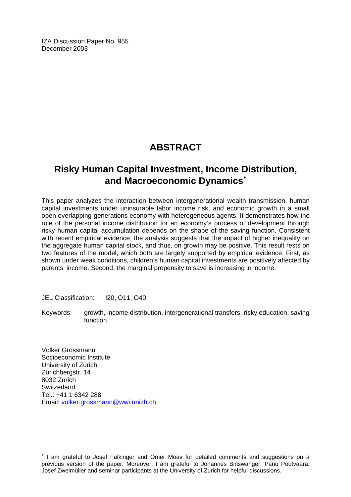IZA Discussion Paper No. 955 December 2003

## **ABSTRACT**

## **Risky Human Capital Investment, Income Distribution, and Macroeconomic Dynamics**[∗](#page-2-0)

This paper analyzes the interaction between intergenerational wealth transmission, human capital investments under uninsurable labor income risk, and economic growth in a small open overlapping-generations economy with heterogeneous agents. It demonstrates how the role of the personal income distribution for an economy's process of development through risky human capital accumulation depends on the shape of the saving function. Consistent with recent empirical evidence, the analysis suggests that the impact of higher inequality on the aggregate human capital stock, and thus, on growth may be positive. This result rests on two features of the model, which both are largely supported by empirical evidence. First, as shown under weak conditions, children's human capital investments are positively affected by parents' income. Second, the marginal propensity to save is increasing in income.

JEL Classification: I20, O11, O40

Keywords: growth, income distribution, intergenerational transfers, risky education, saving function

Volker Grossmann Socioeconomic Institute University of Zurich Zürichbergstr. 14 8032 Zürich **Switzerland** Tel.: +41 1 6342 288 Email: [volker.grossmann@wwi.unizh.ch](mailto:volker.grossmann@wwi.unizh.ch) 

 $\overline{a}$ 

<span id="page-2-0"></span><sup>∗</sup> I am grateful to Josef Falkinger and Omer Moav for detailed comments and suggestions on a previous version of the paper. Moreover, I am grateful to Johannes Binswanger, Panu Poutvaara, Josef Zweimüller and seminar participants at the University of Zurich for helpful discussions.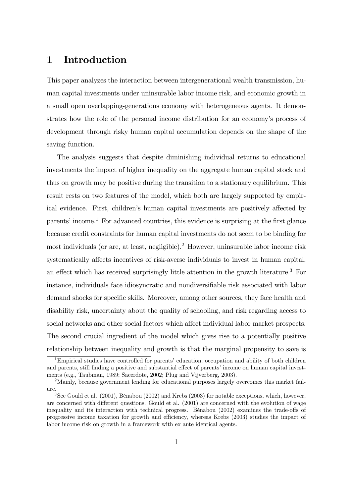## 1 Introduction

This paper analyzes the interaction between intergenerational wealth transmission, human capital investments under uninsurable labor income risk, and economic growth in a small open overlapping-generations economy with heterogeneous agents. It demonstrates how the role of the personal income distribution for an economy's process of development through risky human capital accumulation depends on the shape of the saving function.

The analysis suggests that despite diminishing individual returns to educational investments the impact of higher inequality on the aggregate human capital stock and thus on growth may be positive during the transition to a stationary equilibrium. This result rests on two features of the model, which both are largely supported by empirical evidence. First, children's human capital investments are positively affected by parents' income.<sup>1</sup> For advanced countries, this evidence is surprising at the first glance because credit constraints for human capital investments do not seem to be binding for most individuals (or are, at least, negligible).2 However, uninsurable labor income risk systematically affects incentives of risk-averse individuals to invest in human capital, an effect which has received surprisingly little attention in the growth literature.<sup>3</sup> For instance, individuals face idiosyncratic and nondiversifiable risk associated with labor demand shocks for specific skills. Moreover, among other sources, they face health and disability risk, uncertainty about the quality of schooling, and risk regarding access to social networks and other social factors which affect individual labor market prospects. The second crucial ingredient of the model which gives rise to a potentially positive relationship between inequality and growth is that the marginal propensity to save is

<sup>&</sup>lt;sup>1</sup>Empirical studies have controlled for parents' education, occupation and ability of both children and parents, still finding a positive and substantial effect of parents' income on human capital investments (e.g., Taubman, 1989; Sacerdote, 2002; Plug and Vijverberg, 2003).

<sup>2</sup>Mainly, because government lending for educational purposes largely overcomes this market failure.

<sup>3</sup>See Gould et al. (2001), BÈnabou (2002) and Krebs (2003) for notable exceptions, which, however, are concerned with different questions. Gould et al. (2001) are concerned with the evolution of wage inequality and its interaction with technical progress. BÈnabou (2002) examines the trade-offs of progressive income taxation for growth and efficiency, whereas Krebs (2003) studies the impact of labor income risk on growth in a framework with ex ante identical agents.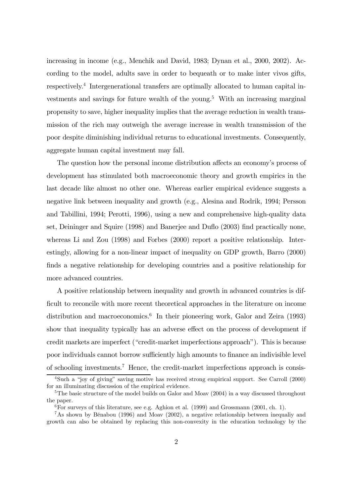increasing in income (e.g., Menchik and David, 1983; Dynan et al., 2000, 2002). According to the model, adults save in order to bequeath or to make inter vivos gifts, respectively.4 Intergenerational transfers are optimally allocated to human capital investments and savings for future wealth of the young.<sup>5</sup> With an increasing marginal propensity to save, higher inequality implies that the average reduction in wealth transmission of the rich may outweigh the average increase in wealth transmission of the poor despite diminishing individual returns to educational investments. Consequently, aggregate human capital investment may fall.

The question how the personal income distribution affects an economy's process of development has stimulated both macroeconomic theory and growth empirics in the last decade like almost no other one. Whereas earlier empirical evidence suggests a negative link between inequality and growth (e.g., Alesina and Rodrik, 1994; Persson and Tabillini, 1994; Perotti, 1996), using a new and comprehensive high-quality data set, Deininger and Squire (1998) and Banerjee and Duflo (2003) find practically none, whereas Li and Zou (1998) and Forbes (2000) report a positive relationship. Interestingly, allowing for a non-linear impact of inequality on GDP growth, Barro (2000) finds a negative relationship for developing countries and a positive relationship for more advanced countries.

A positive relationship between inequality and growth in advanced countries is difficult to reconcile with more recent theoretical approaches in the literature on income distribution and macroeconomics.<sup>6</sup> In their pioneering work, Galor and Zeira (1993) show that inequality typically has an adverse effect on the process of development if credit markets are imperfect ("credit-market imperfections approach"). This is because poor individuals cannot borrow sufficiently high amounts to finance an indivisible level of schooling investments.7 Hence, the credit-market imperfections approach is consis-

 $4$ Such a "iov of giving" saving motive has received strong empirical support. See Carroll (2000) for an illuminating discussion of the empirical evidence.

<sup>&</sup>lt;sup>5</sup>The basic structure of the model builds on Galor and Moav  $(2004)$  in a way discussed throughout the paper.

 $6$ For surveys of this literature, see e.g. Aghion et al. (1999) and Grossmann (2001, ch. 1).

<sup>&</sup>lt;sup>7</sup>As shown by Bénabou (1996) and Moav (2002), a negative relationship between inequaliy and growth can also be obtained by replacing this non-convexity in the education technology by the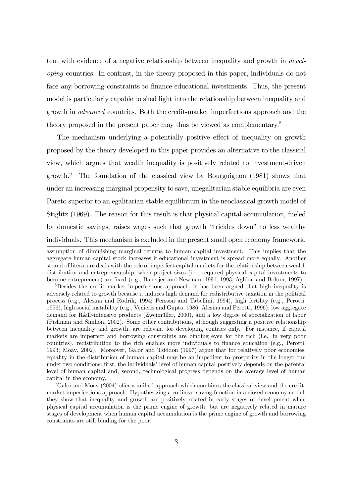tent with evidence of a negative relationship between inequality and growth in developing countries. In contrast, in the theory proposed in this paper, individuals do not face any borrowing constraints to finance educational investments. Thus, the present model is particularly capable to shed light into the relationship between inequality and growth in advanced countries. Both the credit-market imperfections approach and the theory proposed in the present paper may thus be viewed as complementary.<sup>8</sup>

The mechanism underlying a potentially positive effect of inequality on growth proposed by the theory developed in this paper provides an alternative to the classical view, which argues that wealth inequality is positively related to investment-driven growth.<sup>9</sup> The foundation of the classical view by Bourguignon  $(1981)$  shows that under an increasing marginal propensity to save, unegalitarian stable equilibria are even Pareto superior to an egalitarian stable equilibrium in the neoclassical growth model of Stiglitz (1969). The reason for this result is that physical capital accumulation, fueled by domestic savings, raises wages such that growth "trickles down" to less wealthy individuals. This mechanism is excluded in the present small open economy framework.

assumption of diminishing marginal returns to human capital investment. This implies that the aggregate human capital stock increases if educational investment is spread more equally. Another strand of literature deals with the role of imperfect capital markets for the relationship between wealth distribution and entrepreneurship, when project sizes (i.e., required physical capital investments to become entrepreneur) are fixed (e.g., Banerjee and Newman, 1991, 1993; Aghion and Bolton, 1997).

<sup>&</sup>lt;sup>8</sup>Besides the credit market imperfections approach, it has been argued that high inequality is adversely related to growth because it induces high demand for redistributive taxation in the political process (e.g., Alesina and Rodrik, 1994; Persson and Tabellini, 1994), high fertility (e.g., Perotti, 1996), high social instability (e.g., Venieris and Gupta, 1986; Alesina and Perotti, 1996), low aggregate demand for R&D-intensive products (Zweimüller, 2000), and a low degree of specialization of labor (Fishman and Simhon, 2002). Some other contributions, although suggesting a positive relationship between inequality and growth, are relevant for developing contries only. For instance, if capital markets are imperfect and borrowing constraints are binding even for the rich (i.e., in very poor countries), redistribution to the rich enables more individuals to finance education (e.g., Perotti, 1993; Moav, 2002). Moreover, Galor and Tsiddon (1997) argue that for relatively poor economies, equality in the distribution of human capital may be an impedient to prosperity in the longer run under two conditions: first, the individualsí level of human capital positively depends on the parental level of human capital and, second, technological progress depends on the average level of human capital in the economy.

<sup>9</sup>Galor and Moav (2004) offer a unified approach which combines the classical view and the creditmarket imperfections approach. Hypothesizing a co-linear saving function in a closed economy model, they show that inequality and growth are positively related in early stages of development when physical capital accumulation is the prime engine of growth, but are negatively related in mature stages of development when human capital accumulation is the prime engine of growth and borrowing constraints are still binding for the poor.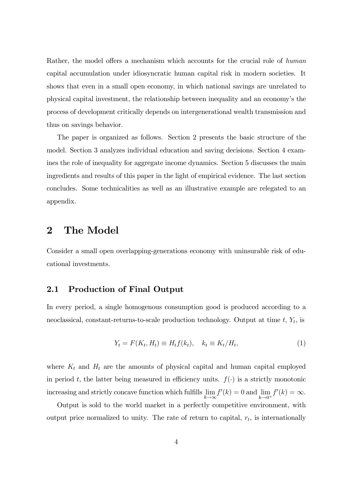Rather, the model offers a mechanism which accounts for the crucial role of human capital accumulation under idiosyncratic human capital risk in modern societies. It shows that even in a small open economy, in which national savings are unrelated to physical capital investment, the relationship between inequality and an economyís the process of development critically depends on intergenerational wealth transmission and thus on savings behavior.

The paper is organized as follows. Section 2 presents the basic structure of the model. Section 3 analyzes individual education and saving decisions. Section 4 examines the role of inequality for aggregate income dynamics. Section 5 discusses the main ingredients and results of this paper in the light of empirical evidence. The last section concludes. Some technicalities as well as an illustrative example are relegated to an appendix.

## 2 The Model

Consider a small open overlapping-generations economy with uninsurable risk of educational investments.

#### 2.1 Production of Final Output

In every period, a single homogenous consumption good is produced according to a neoclassical, constant-returns-to-scale production technology. Output at time  $t$ ,  $Y_t$ , is

$$
Y_t = F(K_t, H_t) \equiv H_t f(k_t), \quad k_t \equiv K_t / H_t,
$$
\n<sup>(1)</sup>

where  $K_t$  and  $H_t$  are the amounts of physical capital and human capital employed in period t, the latter being measured in efficiency units.  $f(\cdot)$  is a strictly monotonic increasing and strictly concave function which fulfills  $\lim_{k\to\infty} f'(k) = 0$  and  $\lim_{k\to 0^+} f'(k) = \infty$ .

Output is sold to the world market in a perfectly competitive environment, with output price normalized to unity. The rate of return to capital,  $r_t$ , is internationally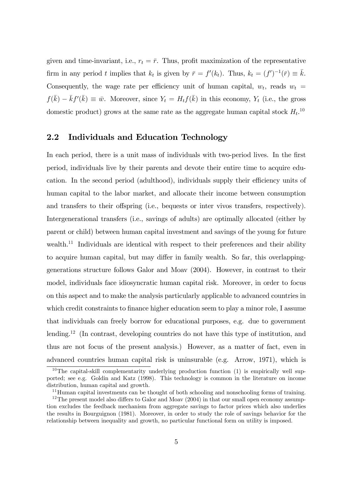given and time-invariant, i.e.,  $r_t = \bar{r}$ . Thus, profit maximization of the representative firm in any period t implies that  $k_t$  is given by  $\bar{r} = f'(k_t)$ . Thus,  $k_t = (f')^{-1}(\bar{r}) \equiv \bar{k}$ . Consequently, the wage rate per efficiency unit of human capital,  $w_t$ , reads  $w_t =$  $f(\bar{k}) - \bar{k}f'(\bar{k}) \equiv \bar{w}$ . Moreover, since  $Y_t = H_t f(\bar{k})$  in this economy,  $Y_t$  (i.e., the gross domestic product) grows at the same rate as the aggregate human capital stock  $H_t$ <sup>10</sup>

#### 2.2 Individuals and Education Technology

In each period, there is a unit mass of individuals with two-period lives. In the first period, individuals live by their parents and devote their entire time to acquire education. In the second period (adulthood), individuals supply their efficiency units of human capital to the labor market, and allocate their income between consumption and transfers to their offspring (i.e., bequests or inter vivos transfers, respectively). Intergenerational transfers (i.e., savings of adults) are optimally allocated (either by parent or child) between human capital investment and savings of the young for future wealth.<sup>11</sup> Individuals are identical with respect to their preferences and their ability to acquire human capital, but may differ in family wealth. So far, this overlappinggenerations structure follows Galor and Moav (2004). However, in contrast to their model, individuals face idiosyncratic human capital risk. Moreover, in order to focus on this aspect and to make the analysis particularly applicable to advanced countries in which credit constraints to finance higher education seem to play a minor role, I assume that individuals can freely borrow for educational purposes, e.g. due to government lending.<sup>12</sup> (In contrast, developing countries do not have this type of institution, and thus are not focus of the present analysis.) However, as a matter of fact, even in advanced countries human capital risk is uninsurable (e.g. Arrow, 1971), which is

 $10$ The capital-skill complementarity underlying production function (1) is empirically well supported; see e.g. Goldin and Katz (1998). This technology is common in the literature on income distribution, human capital and growth.

<sup>&</sup>lt;sup>11</sup>Human capital investments can be thought of both schooling and nonschooling forms of training.

 $12$ The present model also differs to Galor and Moav (2004) in that our small open economy assumption excludes the feedback mechanism from aggregate savings to factor prices which also underlies the results in Bourguignon (1981). Moreover, in order to study the role of savings behavior for the relationship between inequality and growth, no particular functional form on utility is imposed.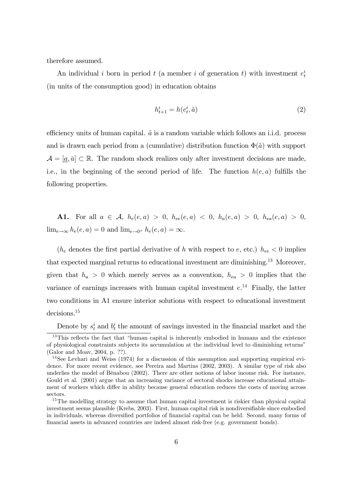therefore assumed.

An individual i born in period  $t$  (a member i of generation  $t$ ) with investment  $e_t^i$ (in units of the consumption good) in education obtains

$$
h_{t+1}^i = h(e_t^i, \tilde{a})\tag{2}
$$

efficiency units of human capital.  $\tilde{a}$  is a random variable which follows an i.i.d. process and is drawn each period from a (cumulative) distribution function  $\Phi(\tilde{a})$  with support  $\mathcal{A} = [\underline{a}, \overline{a}] \subset \mathbb{R}$ . The random shock realizes only after investment decisions are made, i.e., in the beginning of the second period of life. The function  $h(e, a)$  fulfills the following properties.

A1. For all  $a \in \mathcal{A}$ ,  $h_e(e, a) > 0$ ,  $h_{ee}(e, a) < 0$ ,  $h_a(e, a) > 0$ ,  $h_{ea}(e, a) > 0$ ,  $\lim_{e\to\infty} h_e(e, a) = 0$  and  $\lim_{e\to 0^+} h_e(e, a) = \infty$ .

( $h_e$  denotes the first partial derivative of h with respect to e, etc.)  $h_{ee} < 0$  implies that expected marginal returns to educational investment are diminishing.<sup>13</sup> Moreover, given that  $h_a > 0$  which merely serves as a convention,  $h_{ea} > 0$  implies that the variance of earnings increases with human capital investment  $e^{14}$ . Finally, the latter two conditions in A1 ensure interior solutions with respect to educational investment decisions.<sup>15</sup>

Denote by  $s_t^i$  and  $b_t^i$  the amount of savings invested in the financial market and the

 $13$ This reflects the fact that "human capital is inherently embodied in humans and the existence of physiological constraints subjects its accumulation at the individual level to diminishing returnsî (Galor and Moav, 2004, p. ??).

<sup>&</sup>lt;sup>14</sup>See Levhari and Weiss (1974) for a discussion of this assumption and supporting empirical evidence. For more recent evidence, see Pereira and Martins (2002, 2003). A similar type of risk also underlies the model of BÈnabou (2002). There are other notions of labor income risk. For instance, Gould et al. (2001) argue that an increasing variance of sectoral shocks increase educational attainment of workers which differ in ability because general education reduces the costs of moving across sectors.

<sup>&</sup>lt;sup>15</sup>The modelling strategy to assume that human capital investment is riskier than physical capital investment seems plausible (Krebs, 2003). First, human capital risk is nondiversifiable since embodied in individuals, whereas diversified portfolios of financial capital can be held. Second, many forms of financial assets in advanced countries are indeed almost risk-free (e.g. government bonds).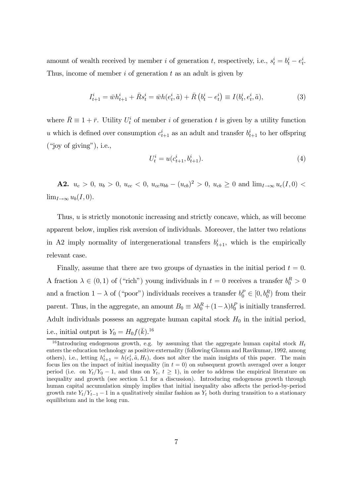amount of wealth received by member *i* of generation *t*, respectively, i.e.,  $s_t^i = b_t^i - e_t^i$ . Thus, income of member  $i$  of generation  $t$  as an adult is given by

$$
I_{t+1}^i = \bar{w}h_{t+1}^i + \bar{R}s_t^i = \bar{w}h(e_t^i, \tilde{a}) + \bar{R}(b_t^i - e_t^i) \equiv I(b_t^i, e_t^i, \tilde{a}),
$$
\n(3)

where  $\bar{R} \equiv 1 + \bar{r}$ . Utility  $U_t^i$  of member i of generation t is given by a utility function u which is defined over consumption  $c_{t+1}^i$  as an adult and transfer  $b_{t+1}^i$  to her offspring  $(i)$ ioy of giving"), i.e.,

$$
U_t^i = u(c_{t+1}^i, b_{t+1}^i). \tag{4}
$$

**A2.**  $u_c > 0$ ,  $u_b > 0$ ,  $u_{cc} < 0$ ,  $u_{cc}u_{bb} - (u_{cb})^2 > 0$ ,  $u_{cb} \ge 0$  and  $\lim_{I \to \infty} u_c(I, 0) <$  $\lim_{I\to\infty}u_b(I,0).$ 

Thus, u is strictly monotonic increasing and strictly concave, which, as will become apparent below, implies risk aversion of individuals. Moreover, the latter two relations in A2 imply normality of intergenerational transfers  $b_{t+1}^i$ , which is the empirically relevant case.

Finally, assume that there are two groups of dynasties in the initial period  $t = 0$ . A fraction  $\lambda \in (0, 1)$  of ("rich") young individuals in  $t = 0$  receives a transfer  $b_0^R > 0$ and a fraction  $1 - \lambda$  of ("poor") individuals receives a transfer  $b_0^P \in [0, b_0^R)$  from their parent. Thus, in the aggregate, an amount  $B_0 \equiv \lambda b_0^R + (1 - \lambda)b_0^P$  is initially transferred. Adult individuals possess an aggregate human capital stock  $H_0$  in the initial period, i.e., initial output is  $Y_0 = H_0 f(\bar{k}).^{16}$ 

<sup>&</sup>lt;sup>16</sup> Introducing endogenous growth, e.g. by assuming that the aggregate human capital stock  $H_t$ enters the education technology as positive externality (following Glomm and Ravikumar, 1992, among others), i.e., letting  $h_{t+1}^i = h(e_t^i, \tilde{a}, H_t)$ , does not alter the main insights of this paper. The main focus lies on the impact of initial inequality (in  $t = 0$ ) on subsequent growth averaged over a longer period (i.e. on  $Y_t/Y_0 - 1$ , and thus on  $Y_t$ ,  $t \geq 1$ ), in order to address the empirical literature on inequality and growth (see section 5.1 for a discussion). Introducing endogenous growth through human capital accumulation simply implies that initial inequality also affects the period-by-period growth rate  $Y_t/Y_{t-1} - 1$  in a qualitatively similar fashion as  $Y_t$  both during transition to a stationary equilibrium and in the long run.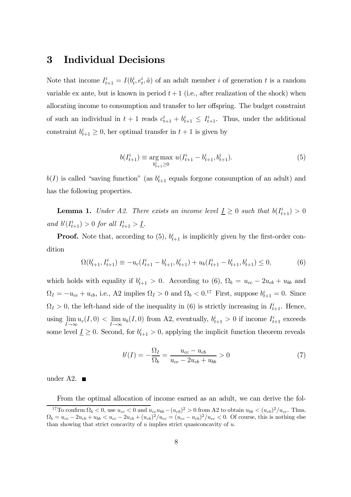## 3 Individual Decisions

Note that income  $I_{t+1}^i = I(b_t^i, e_t^i, \tilde{a})$  of an adult member i of generation t is a random variable ex ante, but is known in period  $t+1$  (i.e., after realization of the shock) when allocating income to consumption and transfer to her offspring. The budget constraint of such an individual in  $t + 1$  reads  $c_{t+1}^i + b_{t+1}^i \leq I_{t+1}^i$ . Thus, under the additional constraint  $b_{t+1}^i \geq 0$ , her optimal transfer in  $t+1$  is given by

$$
b(I_{t+1}^i) \equiv \underset{b_{t+1}^i \ge 0}{\arg \max} \ u(I_{t+1}^i - b_{t+1}^i, b_{t+1}^i). \tag{5}
$$

 $b(I)$  is called "saving function" (as  $b_{t+1}^i$  equals forgone consumption of an adult) and has the following properties.

**Lemma 1.** Under A2. There exists an income level  $\underline{I} \geq 0$  such that  $b(I_{t+1}^i) > 0$ and  $b'(I_{t+1}^i) > 0$  for all  $I_{t+1}^i > I$ .

**Proof.** Note that, according to  $(5)$ ,  $b_{t+1}^i$  is implicitly given by the first-order condition

$$
\Omega(b_{t+1}^i, I_{t+1}^i) \equiv -u_c(I_{t+1}^i - b_{t+1}^i, b_{t+1}^i) + u_b(I_{t+1}^i - b_{t+1}^i, b_{t+1}^i) \le 0,\tag{6}
$$

which holds with equality if  $b_{t+1}^i > 0$ . According to (6),  $\Omega_b = u_{cc} - 2u_{cb} + u_{bb}$  and  $\Omega_I = -u_{cc} + u_{cb}$ , i.e., A2 implies  $\Omega_I > 0$  and  $\Omega_b < 0.^{17}$  First, suppose  $b_{t+1}^i = 0$ . Since  $\Omega_I > 0$ , the left-hand side of the inequality in (6) is strictly increasing in  $I_{t+1}^i$ . Hence, using  $\lim_{I\to\infty}u_c(I,0)<\lim_{I\to\infty}u_b(I,0)$  from A2, eventually,  $b_{t+1}^i>0$  if income  $I_{t+1}^i$  exceeds some level  $\underline{I} \geq 0$ . Second, for  $b_{t+1}^i > 0$ , applying the implicit function theorem reveals

$$
b'(I) = -\frac{\Omega_I}{\Omega_b} = \frac{u_{cc} - u_{cb}}{u_{cc} - 2u_{cb} + u_{bb}} > 0
$$
\n(7)

under A2.  $\blacksquare$ 

From the optimal allocation of income earned as an adult, we can derive the fol-<sup>17</sup>To confirm  $\Omega_b < 0$ , use  $u_{cc} < 0$  and  $u_{cc}u_{bb} - (u_{cb})^2 > 0$  from A2 to obtain  $u_{bb} < (u_{cb})^2/u_{cc}$ . Thus,  $\Omega_b = u_{cc} - 2u_{cb} + u_{bb} < u_{cc} - 2u_{cb} + (u_{cb})^2/u_{cc} = (u_{cc} - u_{cb})^2/u_{cc} < 0$ . Of course, this is nothing else than showing that strict concavity of  $u$  implies strict quasiconcavity of  $u$ .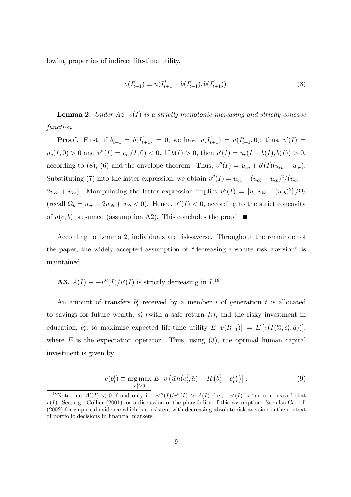lowing properties of indirect life-time utility,

$$
v(I_{t+1}^i) \equiv u(I_{t+1}^i - b(I_{t+1}^i), b(I_{t+1}^i)).
$$
\n(8)

**Lemma 2.** Under A2.  $v(I)$  is a strictly monotonic increasing and strictly concave function.

**Proof.** First, if  $b_{t+1}^i = b(I_{t+1}^i) = 0$ , we have  $v(I_{t+1}^i) = u(I_{t+1}^i, 0)$ ; thus,  $v'(I) =$  $u_c(I,0) > 0$  and  $v''(I) = u_{cc}(I,0) < 0$ . If  $b(I) > 0$ , then  $v'(I) = u_c(I - b(I), b(I)) > 0$ , according to (8), (6) and the envelope theorem. Thus,  $v''(I) = u_{cc} + b'(I)(u_{cb} - u_{cc})$ . Substituting (7) into the latter expression, we obtain  $v''(I) = u_{cc} - (u_{cb} - u_{cc})^2/(u_{cc} 2u_{cb} + u_{bb}$ ). Manipulating the latter expression implies  $v''(I)=[u_{cc}u_{bb} - (u_{cb})^2]/\Omega_b$ (recall  $\Omega_b = u_{cc} - 2u_{cb} + u_{bb} < 0$ ). Hence,  $v''(I) < 0$ , according to the strict concavity of  $u(c, b)$  presumed (assumption A2). This concludes the proof.  $\blacksquare$ 

According to Lemma 2, individuals are risk-averse. Throughout the remainder of the paper, the widely accepted assumption of "decreasing absolute risk aversion" is maintained.

**A3.** 
$$
A(I) \equiv -v''(I)/v'(I)
$$
 is strictly decreasing in  $I^{18}$ 

An amount of transfers  $b_t^i$  received by a member i of generation t is allocated to savings for future wealth,  $s_t^i$  (with a safe return  $\overline{R}$ ), and the risky investment in education,  $e_t^i$ , to maximize expected life-time utility  $E[v(I_{t+1}^i)] = E[v(I(b_t^i, e_t^i, \tilde{a}))],$ where  $E$  is the expectation operator. Thus, using  $(3)$ , the optimal human capital investment is given by

$$
e(b_t^i) \equiv \underset{e_t^i \ge 0}{\arg \max} E\left[v\left(\bar{w}h(e_t^i, \tilde{a}) + \bar{R}\left(b_t^i - e_t^i\right)\right)\right]. \tag{9}
$$

<sup>&</sup>lt;sup>18</sup>Note that  $A'(I) < 0$  if and only if  $-v'''(I)/v''(I) > A(I)$ , i.e.,  $-v'(I)$  is "more concave" that  $v(I)$ . See, e.g., Gollier (2001) for a discussion of the plausibility of this assumption. See also Carroll (2002) for empirical evidence which is consistent with decreasing absolute risk aversion in the context of portfolio decisions in financial markets.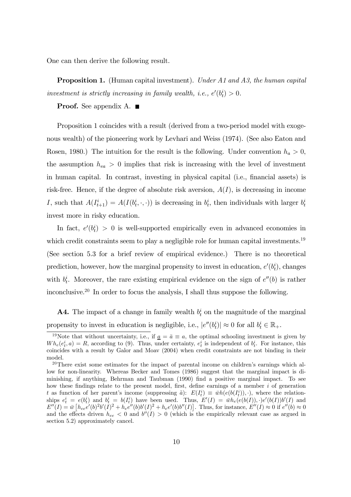One can then derive the following result.

**Proposition 1.** (Human capital investment). Under A1 and A3, the human capital investment is strictly increasing in family wealth, i.e.,  $e'(b_t^i) > 0$ .

**Proof.** See appendix A.  $\blacksquare$ 

Proposition 1 coincides with a result (derived from a two-period model with exogenous wealth) of the pioneering work by Levhari and Weiss (1974). (See also Eaton and Rosen, 1980.) The intuition for the result is the following. Under convention  $h_a > 0$ , the assumption  $h_{ea} > 0$  implies that risk is increasing with the level of investment in human capital. In contrast, investing in physical capital (i.e., financial assets) is risk-free. Hence, if the degree of absolute risk aversion,  $A(I)$ , is decreasing in income I, such that  $A(I_{t+1}^i) = A(I(b_t^i, \cdot, \cdot))$  is decreasing in  $b_t^i$ , then individuals with larger  $b_t^i$ invest more in risky education.

In fact,  $e'(b_t^i) > 0$  is well-supported empirically even in advanced economies in which credit constraints seem to play a negligible role for human capital investments.<sup>19</sup> (See section 5.3 for a brief review of empirical evidence.) There is no theoretical prediction, however, how the marginal propensity to invest in education,  $e'(b_t)$ , changes with  $b_t^i$ . Moreover, the rare existing empirical evidence on the sign of  $e''(b)$  is rather inconclusive.20 In order to focus the analysis, I shall thus suppose the following.

**A4.** The impact of a change in family wealth  $b_t^i$  on the magnitude of the marginal propensity to invest in education is negligible, i.e.,  $|e''(b_i^i)| \approx 0$  for all  $b_t^i \in \mathbb{R}_+$ .

<sup>&</sup>lt;sup>19</sup>Note that without uncertainty, i.e., if  $\underline{a} = \overline{a} \equiv a$ , the optimal schooling investment is given by  $Wh_e(e_t^i, a) = R$ , according to (9). Thus, under certainty,  $e_t^i$  is independent of  $b_t^i$ . For instance, this coincides with a result by Galor and Moav (2004) when credit constraints are not binding in their model.

 $20$ There exist some estimates for the impact of parental income on children's earnings which allow for non-linearity. Whereas Becker and Tomes (1986) suggest that the marginal impact is diminishing, if anything, Behrman and Taubman (1990) find a positive marginal impact. To see how these findings relate to the present model, first, define earnings of a member i of generation t as function of her parent's income (suppressing  $\tilde{a}$ ):  $E(I_t^i) \equiv \bar{w}h(e(b(I_t^i)), \cdot)$ , where the relationships  $e_t^i = e(b_t^i)$  and  $b_t^i = b(I_t^i)$  have been used. Thus,  $E'(I) = \bar{w}h_e(e(b(I)), \cdot)e'(b(I))b'(I)$  and  $E''(I) = \bar{w} \left[ h_{ee} e'(b)^2 b'(I)^2 + h_e e''(b) b'(I)^2 + h_e e'(b) b''(I) \right]$ . Thus, for instance,  $E''(I) \approx 0$  if  $e''(b) \approx 0$ and the effects driven  $h_{ee} < 0$  and  $b''(I) > 0$  (which is the empirically relevant case as argued in section 5.2) approximately cancel.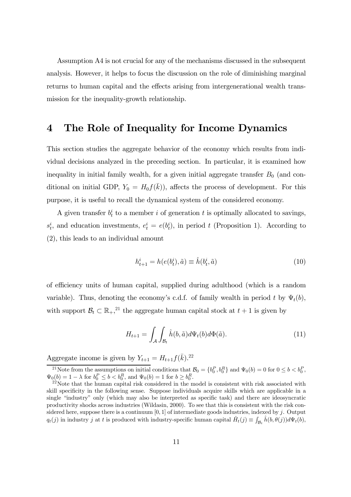Assumption A4 is not crucial for any of the mechanisms discussed in the subsequent analysis. However, it helps to focus the discussion on the role of diminishing marginal returns to human capital and the effects arising from intergenerational wealth transmission for the inequality-growth relationship.

## 4 The Role of Inequality for Income Dynamics

This section studies the aggregate behavior of the economy which results from individual decisions analyzed in the preceding section. In particular, it is examined how inequality in initial family wealth, for a given initial aggregate transfer  $B_0$  (and conditional on initial GDP,  $Y_0 = H_0 f(\bar{k})$ , affects the process of development. For this purpose, it is useful to recall the dynamical system of the considered economy.

A given transfer  $b_t^i$  to a member i of generation t is optimally allocated to savings,  $s_t^i$ , and education investments,  $e_t^i = e(b_t^i)$ , in period t (Proposition 1). According to (2), this leads to an individual amount

$$
h_{t+1}^i = h(e(b_t^i), \tilde{a}) \equiv \hat{h}(b_t^i, \tilde{a})
$$
\n(10)

of efficiency units of human capital, supplied during adulthood (which is a random variable). Thus, denoting the economy's c.d.f. of family wealth in period t by  $\Psi_t(b)$ , with support  $\mathcal{B}_t \subset \mathbb{R}_+$ ,<sup>21</sup> the aggregate human capital stock at  $t + 1$  is given by

$$
H_{t+1} = \int_{\mathcal{A}} \int_{\mathcal{B}_t} \hat{h}(b, \tilde{a}) d\Psi_t(b) d\Phi(\tilde{a}). \tag{11}
$$

Aggregate income is given by  $Y_{t+1} = H_{t+1} f(\bar{k})$ .<sup>22</sup>

<sup>&</sup>lt;sup>21</sup>Note from the assumptions on initial conditions that  $B_0 = \{b_0^P, b_0^R\}$  and  $\Psi_0(b) = 0$  for  $0 \le b < b_0^P$ ,  $\Psi_0(b) = 1 - \lambda$  for  $b_0^P \le b < b_0^R$ , and  $\Psi_0(b) = 1$  for  $b \ge b_0^R$ 

 $22$  Note that the human capital risk considered in the model is consistent with risk associated with skill specificity in the following sense. Suppose individuals acquire skills which are applicable in a single "industry" only (which may also be interpreted as specific task) and there are ideosyncratic productivity shocks across industries (Wildasin, 2000). To see that this is consistent with the risk considered here, suppose there is a continuum  $[0, 1]$  of intermediate goods industries, indexed by j. Output  $q_t(j)$  in industry j at t is produced with industry-specific human capital  $\hat{H}_t(j) \equiv \int_{\mathcal{B}_t} \hat{h}(b, \theta(j)) d\Psi_t(b)$ ,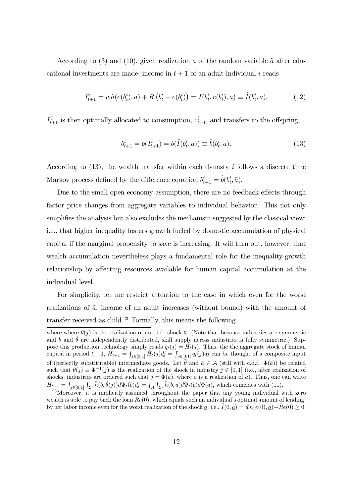According to (3) and (10), given realization a of the random variable  $\tilde{a}$  after educational investments are made, income in  $t + 1$  of an adult individual i reads

$$
I_{t+1}^i = \bar{w}h(e(b_t^i), a) + \bar{R}(b_t^i - e(b_t^i)) = I(b_t^i, e(b_t^i), a) \equiv \hat{I}(b_t^i, a). \tag{12}
$$

 $I_{t+1}^i$  is then optimally allocated to consumption,  $c_{t+1}^i$ , and transfers to the offspring,

$$
b_{t+1}^i = b(I_{t+1}^i) = b(\hat{I}(b_t^i, a)) \equiv \hat{b}(b_t^i, a). \tag{13}
$$

According to  $(13)$ , the wealth transfer within each dynasty i follows a discrete time Markov process defined by the difference equation  $b_{t+1}^i = \hat{b}(b_t^i, \tilde{a})$ .

Due to the small open economy assumption, there are no feedback effects through factor price changes from aggregate variables to individual behavior. This not only simplifies the analysis but also excludes the mechanism suggested by the classical view: i.e., that higher inequality fosters growth fueled by domestic accumulation of physical capital if the marginal propensity to save is increasing. It will turn out, however, that wealth accumulation nevertheless plays a fundamental role for the inequality-growth relationship by affecting resources available for human capital accumulation at the individual level.

For simplicity, let me restrict attention to the case in which even for the worst realizations of  $\tilde{a}$ , income of an adult increases (without bound) with the amount of transfer received as child.<sup>23</sup> Formally, this means the following.

where where  $\theta(j)$  is the realization of an i.i.d. shock  $\tilde{\theta}$ . (Note that because industries are symmetric and b and  $\hat{\theta}$  are independently distributed, skill supply across industries is fully symmetric.) Suppose this production technology simply reads  $q_t(j) = \hat{H}_t(j)$ . Thus, the the aggregate stock of human capital in period  $t + 1$ ,  $H_{t+1} = \int_{j \in [0,1]} \hat{H}_t(j)dj = \int_{j \in [0,1]} q_t(j)dj$  can be thought of a composite input of (perfectly substitutable) intermediate goods. Let  $\hat{\theta}$  and  $\tilde{a} \in \mathcal{A}$  (still with c.d.f.  $\Phi(\tilde{a})$ ) be related such that  $\theta(j) \equiv \Phi^{-1}(j)$  is the realization of the shock in industry  $j \in [0,1]$  (i.e., after realization of shocks, industries are ordered such that  $j = \Phi(a)$ , where a is a realization of  $\tilde{a}$ ). Thus, one can write  $H_{t+1} = \int_{j\in[0,1]} \int_{\mathcal{B}_t} \hat{h}(b,\tilde{\theta}(j))d\Psi_t(b)dj = \int_{\mathcal{A}} \int_{\mathcal{B}_t} \hat{h}(b,\tilde{a})d\Psi_t(b)d\Phi(\tilde{a})$ , which coincides with (11).

 $^{23}$ Moreover, it is implicitly assumed throughout the paper that any young individual with zero wealth is able to pay back the loan  $Re(0)$ , which equals such an individual's optimal amount of lending, by her labor income even for the worst realization of the shock  $\underline{a}$ , i.e.,  $I(0, \underline{a}) = \overline{w}h(e(0), \underline{a}) - Re(0) \ge 0$ .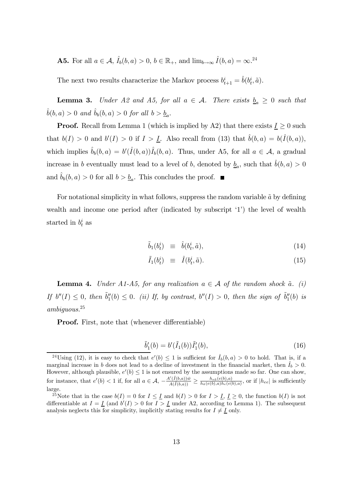**A5.** For all  $a \in \mathcal{A}$ ,  $\hat{I}_b(b, a) > 0$ ,  $b \in \mathbb{R}_+$ , and  $\lim_{b \to \infty} \hat{I}(b, a) = \infty$ .<sup>24</sup>

The next two results characterize the Markov process  $b_{t+1}^i = \hat{b}(b_t^i, \tilde{a})$ .

**Lemma 3.** Under A2 and A5, for all  $a \in \mathcal{A}$ . There exists  $\underline{b}_a \geq 0$  such that  $\hat{b}(b, a) > 0$  and  $\hat{b}_b(b, a) > 0$  for all  $b > \underline{b}_a$ .

**Proof.** Recall from Lemma 1 (which is implied by A2) that there exists  $\underline{I} \geq 0$  such that  $b(I) > 0$  and  $b'(I) > 0$  if  $I > I$ . Also recall from (13) that  $\hat{b}(b, a) = b(\hat{I}(b, a)),$ which implies  $\hat{b}_b(b, a) = b'(\hat{I}(b, a))\hat{I}_b(b, a)$ . Thus, under A5, for all  $a \in \mathcal{A}$ , a gradual increase in b eventually must lead to a level of b, denoted by  $\underline{b}_a$ , such that  $\hat{b}(b, a) > 0$ and  $b_b(b, a) > 0$  for all  $b > b_a$ . This concludes the proof.

For notational simplicity in what follows, suppress the random variable  $\tilde{a}$  by defining wealth and income one period after (indicated by subscript  $(1)$ ) the level of wealth started in  $b_t^i$  as

$$
\tilde{b}_1(b_t^i) \equiv \hat{b}(b_t^i, \tilde{a}), \qquad (14)
$$

$$
\tilde{I}_1(b_t^i) \equiv \hat{I}(b_t^i, \tilde{a}). \tag{15}
$$

**Lemma 4.** Under A1-A5, for any realization  $a \in \mathcal{A}$  of the random shock  $\tilde{a}$ . (i) If  $b''(I) \leq 0$ , then  $\tilde{b}_1''(b) \leq 0$ . (ii) If, by contrast,  $b''(I) > 0$ , then the sign of  $\tilde{b}_1''(b)$  is ambiguous.<sup>25</sup>

Proof. First, note that (whenever differentiable)

$$
\tilde{b}'_1(b) = b'(\tilde{I}_1(b))\tilde{I}'_1(b),\tag{16}
$$

<sup>&</sup>lt;sup>24</sup>Using (12), it is easy to check that  $e'(b) \leq 1$  is sufficient for  $\hat{I}_b(b,a) > 0$  to hold. That is, if a marginal increase in b does not lead to a decline of investment in the financial market, then  $\hat{I}_b > 0$ . However, although plausible,  $e'(b) \leq 1$  is not ensured by the assumptions made so far. One can show, for instance, that  $e'(b) < 1$  if, for all  $a \in \mathcal{A}$ ,  $-\frac{A'(\hat{I}(b,a))\bar{w}}{A(\hat{I}(b,a))}$  $\frac{A'(I(b,a))\bar{w}}{A(\hat{I}(b,a))} \geq \frac{h_{e\bar{a}}(e(b),a)}{h_{\bar{a}}(e(b),a)h_e(e(b),a)},$  or if  $|h_{ee}|$  is sufficiently large.

<sup>&</sup>lt;sup>25</sup>Note that in the case  $b(I)=0$  for  $I \leq I$  and  $b(I) > 0$  for  $I > I$ ,  $I \geq 0$ , the function  $b(I)$  is not differentiable at  $I = \underline{I}$  (and  $b'(I) > 0$  for  $I > \underline{I}$  under A2, according to Lemma 1). The subsequent analysis neglects this for simplicity, implicitly stating results for  $I \neq I$  only.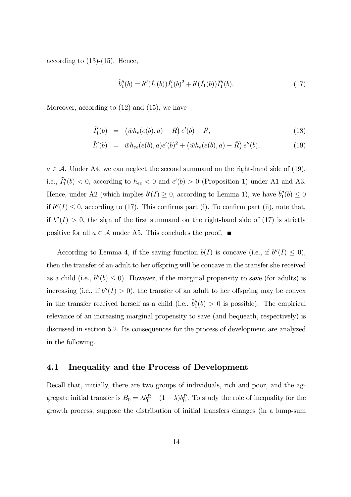according to  $(13)-(15)$ . Hence,

$$
\tilde{b}_1''(b) = b''(\tilde{I}_1(b))\tilde{I}_1'(b)^2 + b'(\tilde{I}_1(b))\tilde{I}_1''(b).
$$
\n(17)

Moreover, according to (12) and (15), we have

$$
\tilde{I}'_1(b) = (\bar{w}h_e(e(b), a) - \bar{R}) e'(b) + \bar{R}, \qquad (18)
$$

$$
\tilde{I}_1''(b) = \bar{w}h_{ee}(e(b),a)e'(b)^2 + (\bar{w}h_e(e(b),a) - \bar{R})e''(b),
$$
\n(19)

 $a \in \mathcal{A}$ . Under A4, we can neglect the second summand on the right-hand side of (19), i.e.,  $\tilde{I}_1''(b) < 0$ , according to  $h_{ee} < 0$  and  $e'(b) > 0$  (Proposition 1) under A1 and A3. Hence, under A2 (which implies  $b'(I) \geq 0$ , according to Lemma 1), we have  $\tilde{b}_1''(b) \leq 0$ if  $b''(I) \leq 0$ , according to (17). This confirms part (i). To confirm part (ii), note that, if  $b''(I) > 0$ , the sign of the first summand on the right-hand side of (17) is strictly positive for all  $a \in \mathcal{A}$  under A5. This concludes the proof.  $\blacksquare$ 

According to Lemma 4, if the saving function  $b(I)$  is concave (i.e., if  $b''(I) \leq 0$ ), then the transfer of an adult to her offspring will be concave in the transfer she received as a child (i.e.,  $\tilde{b}''_1(b) \leq 0$ ). However, if the marginal propensity to save (for adults) is increasing (i.e., if  $b''(I) > 0$ ), the transfer of an adult to her offspring may be convex in the transfer received herself as a child (i.e.,  $\tilde{b}_1''(b) > 0$  is possible). The empirical relevance of an increasing marginal propensity to save (and bequeath, respectively) is discussed in section 5.2. Its consequences for the process of development are analyzed in the following.

#### 4.1 Inequality and the Process of Development

Recall that, initially, there are two groups of individuals, rich and poor, and the aggregate initial transfer is  $B_0 = \lambda b_0^R + (1 - \lambda)b_0^P$ . To study the role of inequality for the growth process, suppose the distribution of initial transfers changes (in a lump-sum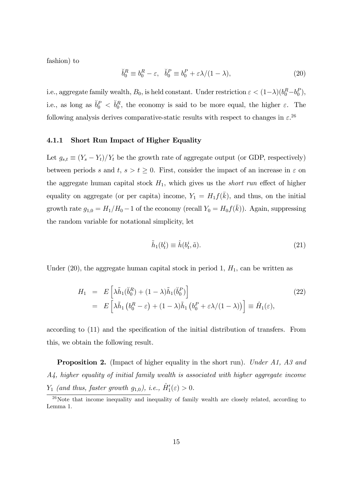fashion) to

$$
\breve{b}_0^R \equiv b_0^R - \varepsilon, \quad \breve{b}_0^P \equiv b_0^P + \varepsilon \lambda / (1 - \lambda), \tag{20}
$$

i.e., aggregate family wealth,  $B_0$ , is held constant. Under restriction  $\varepsilon < (1 - \lambda)(b_0^R - b_0^P)$ , i.e., as long as  $\check{b}_0^P < \check{b}_0^R$ , the economy is said to be more equal, the higher  $\varepsilon$ . The following analysis derives comparative-static results with respect to changes in  $\varepsilon$ <sup>26</sup>

#### 4.1.1 Short Run Impact of Higher Equality

Let  $g_{s,t} \equiv (Y_s - Y_t)/Y_t$  be the growth rate of aggregate output (or GDP, respectively) between periods s and t,  $s > t \geq 0$ . First, consider the impact of an increase in  $\varepsilon$  on the aggregate human capital stock  $H_1$ , which gives us the *short run* effect of higher equality on aggregate (or per capita) income,  $Y_1 = H_1 f(\bar{k})$ , and thus, on the initial growth rate  $g_{1,0} = H_1/H_0 - 1$  of the economy (recall  $Y_0 = H_0 f(\bar{k})$ ). Again, suppressing the random variable for notational simplicity, let

$$
\tilde{h}_1(b_t^i) \equiv \hat{h}(b_t^i, \tilde{a}).\tag{21}
$$

Under  $(20)$ , the aggregate human capital stock in period 1,  $H_1$ , can be written as

$$
H_1 = E\left[\lambda \tilde{h}_1(\check{b}_0^R) + (1 - \lambda)\tilde{h}_1(\check{b}_0^P)\right]
$$
  
= 
$$
E\left[\lambda \tilde{h}_1\left(b_0^R - \varepsilon\right) + (1 - \lambda)\tilde{h}_1\left(b_0^P + \varepsilon\lambda/(1 - \lambda)\right)\right] \equiv \hat{H}_1(\varepsilon),
$$
 (22)

according to (11) and the specification of the initial distribution of transfers. From this, we obtain the following result.

**Proposition 2.** (Impact of higher equality in the short run). Under A1, A3 and A4, higher equality of initial family wealth is associated with higher aggregate income  $Y_1$  (and thus, faster growth  $g_{1,0}$ ), i.e.,  $\hat{H}'_1(\varepsilon) > 0$ .

 $^{26}$ Note that income inequality and inequality of family wealth are closely related, according to Lemma 1.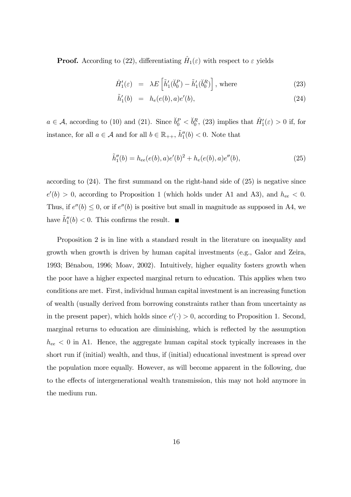**Proof.** According to (22), differentiating  $\hat{H}_1(\varepsilon)$  with respect to  $\varepsilon$  yields

$$
\hat{H}'_1(\varepsilon) = \lambda E\left[\tilde{h}'_1(\check{b}_0^P) - \tilde{h}'_1(\check{b}_0^R)\right], \text{ where } (23)
$$

$$
\tilde{h}'_1(b) = h_e(e(b), a)e'(b), \tag{24}
$$

 $a \in \mathcal{A}$ , according to (10) and (21). Since  $\check{b}_0^P < \check{b}_0^R$ , (23) implies that  $\hat{H}'_1(\varepsilon) > 0$  if, for instance, for all  $a \in \mathcal{A}$  and for all  $b \in \mathbb{R}_{++}$ ,  $\tilde{h}''_1(b) < 0$ . Note that

$$
\tilde{h}_1''(b) = h_{ee}(e(b), a)e'(b)^2 + h_e(e(b), a)e''(b),
$$
\n(25)

according to  $(24)$ . The first summand on the right-hand side of  $(25)$  is negative since  $e'(b) > 0$ , according to Proposition 1 (which holds under A1 and A3), and  $h_{ee} < 0$ . Thus, if  $e''(b) \leq 0$ , or if  $e''(b)$  is positive but small in magnitude as supposed in A4, we have  $\tilde{h}_1''(b) < 0$ . This confirms the result.

Proposition 2 is in line with a standard result in the literature on inequality and growth when growth is driven by human capital investments (e.g., Galor and Zeira, 1993; BÈnabou, 1996; Moav, 2002). Intuitively, higher equality fosters growth when the poor have a higher expected marginal return to education. This applies when two conditions are met. First, individual human capital investment is an increasing function of wealth (usually derived from borrowing constraints rather than from uncertainty as in the present paper), which holds since  $e'(\cdot) > 0$ , according to Proposition 1. Second, marginal returns to education are diminishing, which is reflected by the assumption  $h_{ee}$  < 0 in A1. Hence, the aggregate human capital stock typically increases in the short run if (initial) wealth, and thus, if (initial) educational investment is spread over the population more equally. However, as will become apparent in the following, due to the effects of intergenerational wealth transmission, this may not hold anymore in the medium run.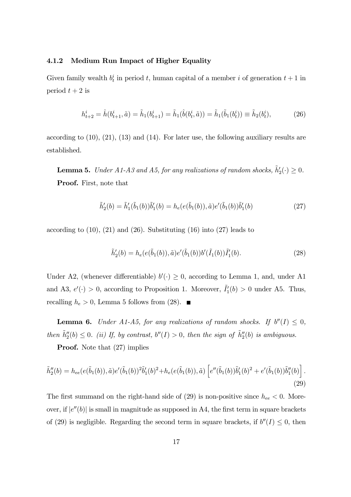#### 4.1.2 Medium Run Impact of Higher Equality

Given family wealth  $b_t^i$  in period t, human capital of a member i of generation  $t+1$  in period  $t + 2$  is

$$
h_{t+2}^i = \hat{h}(b_{t+1}^i, \tilde{a}) = \tilde{h}_1(b_{t+1}^i) = \tilde{h}_1(\hat{b}(b_t^i, \tilde{a})) = \tilde{h}_1(\tilde{b}_1(b_t^i)) \equiv \tilde{h}_2(b_t^i),
$$
\n(26)

according to  $(10)$ ,  $(21)$ ,  $(13)$  and  $(14)$ . For later use, the following auxiliary results are established.

**Lemma 5.** Under A1-A3 and A5, for any realizations of random shocks,  $\tilde{h}'_2(\cdot) \ge 0$ . Proof. First, note that

$$
\tilde{h}'_2(b) = \tilde{h}'_1(\tilde{b}_1(b))\tilde{b}'_1(b) = h_e(e(\tilde{b}_1(b)), \tilde{a})e'(\tilde{b}_1(b))\tilde{b}'_1(b)
$$
\n(27)

according to  $(10)$ ,  $(21)$  and  $(26)$ . Substituting  $(16)$  into  $(27)$  leads to

$$
\tilde{h}'_2(b) = h_e(e(\tilde{b}_1(b)), \tilde{a})e'(\tilde{b}_1(b))b'(\tilde{I}_1(b))\tilde{I}'_1(b).
$$
\n(28)

Under A2, (whenever differentiable)  $b'(\cdot) \geq 0$ , according to Lemma 1, and, under A1 and A3,  $e'(\cdot) > 0$ , according to Proposition 1. Moreover,  $\tilde{I}'_1(b) > 0$  under A5. Thus, recalling  $h_e > 0$ , Lemma 5 follows from (28).

**Lemma 6.** Under A1-A5, for any realizations of random shocks. If  $b''(I) \leq 0$ , then  $\tilde{h}_2''(b) \le 0$ . (ii) If, by contrast,  $b''(I) > 0$ , then the sign of  $\tilde{h}_2''(b)$  is ambiguous.

**Proof.** Note that  $(27)$  implies

$$
\tilde{h}_2''(b) = h_{ee}(e(\tilde{b}_1(b)), \tilde{a})e'(\tilde{b}_1(b))^2 \tilde{b}_1'(b)^2 + h_e(e(\tilde{b}_1(b)), \tilde{a}) \left[ e''(\tilde{b}_1(b))\tilde{b}_1'(b)^2 + e'(\tilde{b}_1(b))\tilde{b}_1''(b) \right].
$$
\n(29)

The first summand on the right-hand side of  $(29)$  is non-positive since  $h_{ee} < 0$ . Moreover, if  $|e''(b)|$  is small in magnitude as supposed in A4, the first term in square brackets of (29) is negligible. Regarding the second term in square brackets, if  $b''(I) \leq 0$ , then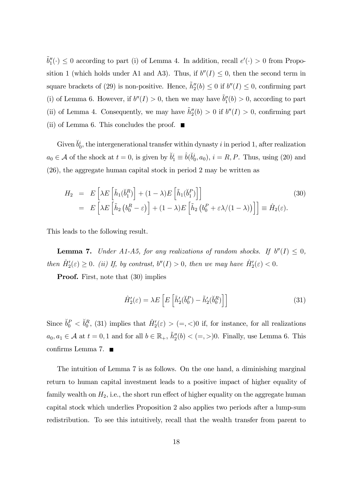$\tilde{b}_1''(\cdot) \leq 0$  according to part (i) of Lemma 4. In addition, recall  $e'(\cdot) > 0$  from Proposition 1 (which holds under A1 and A3). Thus, if  $b''(I) \leq 0$ , then the second term in square brackets of (29) is non-positive. Hence,  $\tilde{h}_2''(b) \leq 0$  if  $b''(I) \leq 0$ , confirming part (i) of Lemma 6. However, if  $b''(I) > 0$ , then we may have  $\tilde{b}''_1(b) > 0$ , according to part (ii) of Lemma 4. Consequently, we may have  $\tilde{h}''_2(b) > 0$  if  $b''(I) > 0$ , confirming part (ii) of Lemma 6. This concludes the proof.  $\blacksquare$ 

Given  $\check{b}_0^i$ , the intergenerational transfer within dynasty i in period 1, after realization  $a_0 \in \mathcal{A}$  of the shock at  $t = 0$ , is given by  $\breve{b}_1^i \equiv \hat{b}(\breve{b}_0^i, a_0)$ ,  $i = R, P$ . Thus, using (20) and (26), the aggregate human capital stock in period 2 may be written as

$$
H_2 = E\left[\lambda E\left[\tilde{h}_1(\breve{b}_1^R)\right] + (1 - \lambda)E\left[\tilde{h}_1(\breve{b}_1^P)\right]\right]
$$
  
= 
$$
E\left[\lambda E\left[\tilde{h}_2\left(b_0^R - \varepsilon\right)\right] + (1 - \lambda)E\left[\tilde{h}_2\left(b_0^P + \varepsilon\lambda/(1 - \lambda)\right)\right]\right] \equiv \hat{H}_2(\varepsilon).
$$
 (30)

This leads to the following result.

**Lemma 7.** Under A1-A5, for any realizations of random shocks. If  $b''(I) \leq 0$ , then  $\hat{H}'_2(\varepsilon) \geq 0$ . (ii) If, by contrast,  $b''(I) > 0$ , then we may have  $\hat{H}'_2(\varepsilon) < 0$ .

**Proof.** First, note that  $(30)$  implies

$$
\hat{H}'_2(\varepsilon) = \lambda E \left[ E \left[ \tilde{h}'_2(\check{b}_0^P) - \tilde{h}'_2(\check{b}_0^R) \right] \right] \tag{31}
$$

Since  $\check{b}_0^P < \check{b}_0^R$ , (31) implies that  $\hat{H}'_2(\varepsilon) > (=, <)0$  if, for instance, for all realizations  $a_0, a_1 \in \mathcal{A}$  at  $t = 0, 1$  and for all  $b \in \mathbb{R}_+$ ,  $\tilde{h}_2''(b) < (=,>)0$ . Finally, use Lemma 6. This confirms Lemma 7.

The intuition of Lemma 7 is as follows. On the one hand, a diminishing marginal return to human capital investment leads to a positive impact of higher equality of family wealth on  $H_2$ , i.e., the short run effect of higher equality on the aggregate human capital stock which underlies Proposition 2 also applies two periods after a lump-sum redistribution. To see this intuitively, recall that the wealth transfer from parent to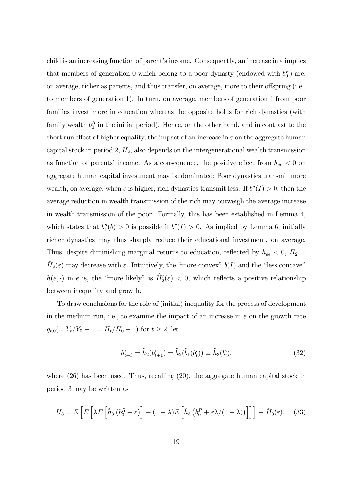child is an increasing function of parent's income. Consequently, an increase in  $\varepsilon$  implies that members of generation 0 which belong to a poor dynasty (endowed with  $b_0^P$ ) are, on average, richer as parents, and thus transfer, on average, more to their offspring (i.e., to members of generation 1). In turn, on average, members of generation 1 from poor families invest more in education whereas the opposite holds for rich dynasties (with family wealth  $b_0^R$  in the initial period). Hence, on the other hand, and in contrast to the short run effect of higher equality, the impact of an increase in  $\varepsilon$  on the aggregate human capital stock in period 2,  $H_2$ , also depends on the intergenerational wealth transmission as function of parents' income. As a consequence, the positive effect from  $h_{ee} < 0$  on aggregate human capital investment may be dominated: Poor dynasties transmit more wealth, on average, when  $\varepsilon$  is higher, rich dynasties transmit less. If  $b''(I) > 0$ , then the average reduction in wealth transmission of the rich may outweigh the average increase in wealth transmission of the poor. Formally, this has been established in Lemma 4, which states that  $\tilde{b}_1''(b) > 0$  is possible if  $b''(I) > 0$ . As implied by Lemma 6, initially richer dynasties may thus sharply reduce their educational investment, on average. Thus, despite diminishing marginal returns to education, reflected by  $h_{ee}$  < 0,  $H_2$  =  $H_2(\varepsilon)$  may decrease with  $\varepsilon$ . Intuitively, the "more convex"  $b(I)$  and the "less concave"  $h(e, \cdot)$  in e is, the "more likely" is  $\hat{H}'_2(\varepsilon) < 0$ , which reflects a positive relationship between inequality and growth.

To draw conclusions for the role of (initial) inequality for the process of development in the medium run, i.e., to examine the impact of an increase in  $\varepsilon$  on the growth rate  $g_{t,0} (= Y_t/Y_0 - 1 = H_t/H_0 - 1)$  for  $t \ge 2$ , let

$$
h_{t+3}^i = \tilde{h}_2(b_{t+1}^i) = \tilde{h}_2(\tilde{b}_1(b_t^i)) \equiv \tilde{h}_3(b_t^i),
$$
\n(32)

where (26) has been used. Thus, recalling (20), the aggregate human capital stock in period 3 may be written as

$$
H_3 = E\left[E\left[\lambda E\left[\tilde{h}_3\left(b_0^R - \varepsilon\right)\right] + (1 - \lambda)E\left[\tilde{h}_3\left(b_0^P + \varepsilon\lambda/(1 - \lambda)\right)\right]\right]\right] \equiv \hat{H}_3(\varepsilon). \quad (33)
$$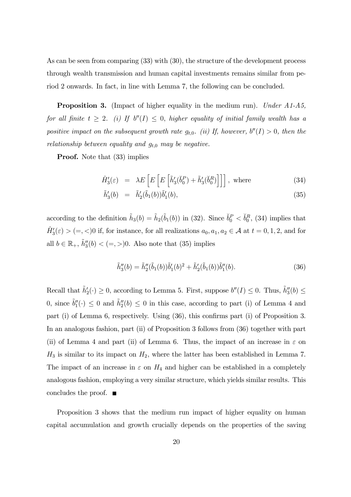As can be seen from comparing (33) with (30), the structure of the development process through wealth transmission and human capital investments remains similar from period 2 onwards. In fact, in line with Lemma 7, the following can be concluded.

**Proposition 3.** (Impact of higher equality in the medium run). Under A1-A5, for all finite  $t \geq 2$ . (i) If  $b''(I) \leq 0$ , higher equality of initial family wealth has a positive impact on the subsequent growth rate  $g_{t,0}$ . (ii) If, however,  $b''(I) > 0$ , then the relationship between equality and  $g_{t,0}$  may be negative.

**Proof.** Note that  $(33)$  implies

$$
\hat{H}_3'(\varepsilon) = \lambda E \left[ E \left[ E \left[ \tilde{h}_3'(\check{b}_0^P) + \tilde{h}_3'(\check{b}_0^R) \right] \right] \right], \text{ where } (34)
$$

$$
\tilde{h}'_3(b) = \tilde{h}'_2(\tilde{b}_1(b))\tilde{b}'_1(b), \qquad (35)
$$

according to the definition  $\tilde{h}_3(b) = \tilde{h}_2(\tilde{b}_1(b))$  in (32). Since  $\check{b}_0^P < \check{b}_0^R$ , (34) implies that  $\hat{H}'_3(\varepsilon) > (=, <)0$  if, for instance, for all realizations  $a_0, a_1, a_2 \in \mathcal{A}$  at  $t = 0, 1, 2$ , and for all  $b \in \mathbb{R}_+$ ,  $\tilde{h}_3''(b) < (=, >)0$ . Also note that (35) implies

$$
\tilde{h}_3''(b) = \tilde{h}_2''(\tilde{b}_1(b))\tilde{b}_1'(b)^2 + \tilde{h}_2'(\tilde{b}_1(b))\tilde{b}_1''(b).
$$
\n(36)

Recall that  $\tilde{h}'_2(\cdot) \ge 0$ , according to Lemma 5. First, suppose  $b''(I) \le 0$ . Thus,  $\tilde{h}''_3(b) \le$ 0, since  $\tilde{b}''_1(\cdot) \leq 0$  and  $\tilde{h}''_2(b) \leq 0$  in this case, according to part (i) of Lemma 4 and part (i) of Lemma 6, respectively. Using (36), this confirms part (i) of Proposition 3. In an analogous fashion, part (ii) of Proposition 3 follows from (36) together with part (ii) of Lemma 4 and part (ii) of Lemma 6. Thus, the impact of an increase in  $\varepsilon$  on  $H_3$  is similar to its impact on  $H_2$ , where the latter has been established in Lemma 7. The impact of an increase in  $\varepsilon$  on  $H_4$  and higher can be established in a completely analogous fashion, employing a very similar structure, which yields similar results. This concludes the proof.  $\Box$ 

Proposition 3 shows that the medium run impact of higher equality on human capital accumulation and growth crucially depends on the properties of the saving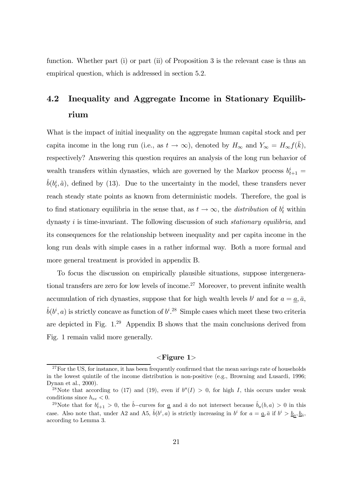function. Whether part (i) or part (ii) of Proposition 3 is the relevant case is thus an empirical question, which is addressed in section 5.2.

## 4.2 Inequality and Aggregate Income in Stationary Equilibrium

What is the impact of initial inequality on the aggregate human capital stock and per capita income in the long run (i.e., as  $t \to \infty$ ), denoted by  $H_{\infty}$  and  $Y_{\infty} = H_{\infty} f(\bar{k}),$ respectively? Answering this question requires an analysis of the long run behavior of wealth transfers within dynasties, which are governed by the Markov process  $b_{t+1}^i =$  $\hat{b}(b_t^i, \tilde{a})$ , defined by (13). Due to the uncertainty in the model, these transfers never reach steady state points as known from deterministic models. Therefore, the goal is to find stationary equilibria in the sense that, as  $t \to \infty$ , the *distribution* of  $b_t^i$  within dynasty  $i$  is time-invariant. The following discussion of such *stationary equilibria*, and its consequences for the relationship between inequality and per capita income in the long run deals with simple cases in a rather informal way. Both a more formal and more general treatment is provided in appendix B.

To focus the discussion on empirically plausible situations, suppose intergenerational transfers are zero for low levels of income.<sup>27</sup> Moreover, to prevent infinite wealth accumulation of rich dynasties, suppose that for high wealth levels  $b^i$  and for  $a = \underline{a}, \overline{a}$ ,  $\hat{b}(b^i, a)$  is strictly concave as function of  $b^{i}$ .<sup>28</sup> Simple cases which meet these two criteria are depicted in Fig. 1. <sup>29</sup> Appendix B shows that the main conclusions derived from Fig. 1 remain valid more generally.

#### $\langle$ Figure 1 $\rangle$

 $27$  For the US, for instance, it has been frequently confirmed that the mean savings rate of households in the lowest quintile of the income distribution is non-positive (e.g., Browning and Lusardi, 1996; Dynan et al., 2000).

<sup>&</sup>lt;sup>28</sup>Note that according to (17) and (19), even if  $b''(I) > 0$ , for high I, this occurs under weak conditions since  $h_{ee} < 0$ .

<sup>&</sup>lt;sup>29</sup>Note that for  $b_{t+1}^i > 0$ , the  $\hat{b}$ −curves for <u>a</u> and  $\bar{a}$  do not intersect because  $\hat{b}_a(b, a) > 0$  in this case. Also note that, under A2 and A5,  $\hat{b}(b^i, a)$  is strictly increasing in  $b^i$  for  $a = \underline{a}, \overline{a}$  if  $b^i > \underline{b}_a, \underline{b}_{\overline{a}},$ according to Lemma 3.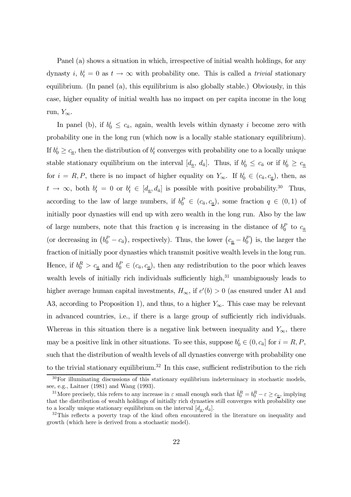Panel (a) shows a situation in which, irrespective of initial wealth holdings, for any dynasty *i*,  $b_t^i = 0$  as  $t \to \infty$  with probability one. This is called a *trivial* stationary equilibrium. (In panel (a), this equilibrium is also globally stable.) Obviously, in this case, higher equality of initial wealth has no impact on per capita income in the long run,  $Y_{\infty}$ .

In panel (b), if  $b_0^i \leq c_{\bar{a}}$ , again, wealth levels within dynasty i become zero with probability one in the long run (which now is a locally stable stationary equilibrium). If  $b_0^i \geq c_{\underline{a}}$ , then the distribution of  $b_t^i$  converges with probability one to a locally unique stable stationary equilibrium on the interval  $[d_{\underline{a}}, d_{\bar{a}}]$ . Thus, if  $b_0^i \le c_{\bar{a}}$  or if  $b_0^i \ge c_{\underline{a}}$ for  $i = R, P$ , there is no impact of higher equality on  $Y_{\infty}$ . If  $b_0^i \in (c_{\bar{a}}, c_{\underline{a}})$ , then, as  $t \to \infty$ , both  $b_t^i = 0$  or  $b_t^i \in [d_{\underline{a}}, d_{\overline{a}}]$  is possible with positive probability.<sup>30</sup> Thus, according to the law of large numbers, if  $b_0^P \in (c_{\bar{a}}, c_{\underline{a}})$ , some fraction  $q \in (0, 1)$  of initially poor dynasties will end up with zero wealth in the long run. Also by the law of large numbers, note that this fraction q is increasing in the distance of  $b_0^P$  to  $c_{\underline{a}}$ (or decreasing in  $(b_0^P - c_{\bar{a}})$ , respectively). Thus, the lower  $(c_{\underline{a}} - b_0^P)$  is, the larger the fraction of initially poor dynasties which transmit positive wealth levels in the long run. Hence, if  $b_0^R > c_{\underline{a}}$  and  $b_0^P \in (c_{\bar{a}}, c_{\underline{a}})$ , then any redistribution to the poor which leaves wealth levels of initially rich individuals sufficiently high, $31$  unambiguously leads to higher average human capital investments,  $H_{\infty}$ , if  $e'(b) > 0$  (as ensured under A1 and A3, according to Proposition 1), and thus, to a higher  $Y_{\infty}$ . This case may be relevant in advanced countries, i.e., if there is a large group of sufficiently rich individuals. Whereas in this situation there is a negative link between inequality and  $Y_{\infty}$ , there may be a positive link in other situations. To see this, suppose  $b_0^i \in (0, c_{\bar{a}}]$  for  $i = R, P$ , such that the distribution of wealth levels of all dynasties converge with probability one to the trivial stationary equilibrium.<sup>32</sup> In this case, sufficient redistribution to the rich

 $30$ For illuminating discussions of this stationary equilibrium indeterminacy in stochastic models. see, e.g., Laitner (1981) and Wang (1993).

<sup>&</sup>lt;sup>31</sup>More precisely, this refers to any increase in  $\varepsilon$  small enough such that  $\check{b}_0^R = b_0^R - \varepsilon \ge c_{\underline{a}},$  implying that the distribution of wealth holdings of initially rich dynasties still converges with probability one to a locally unique stationary equilibrium on the interval  $[d_{\underline{a}}, d_{\overline{a}}]$ .<br><sup>32</sup>This reflects a poverty trap of the kind often encountered in the literature on inequality and

growth (which here is derived from a stochastic model).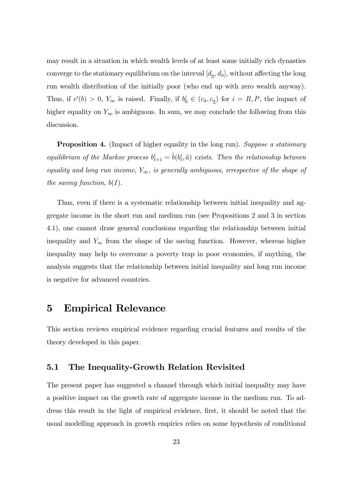may result in a situation in which wealth levels of at least some initially rich dynasties converge to the stationary equilibrium on the interval  $[d_{\underline{a}}, d_{\overline{a}}]$ , without affecting the long run wealth distribution of the initially poor (who end up with zero wealth anyway). Thus, if  $e'(b) > 0$ ,  $Y_{\infty}$  is raised. Finally, if  $b_0^i \in (c_{\bar{a}}, c_{\underline{a}})$  for  $i = R, P$ , the impact of higher equality on  $Y_{\infty}$  is ambiguous. In sum, we may conclude the following from this discussion.

**Proposition 4.** (Impact of higher equality in the long run). Suppose a stationary equilibrium of the Markov process  $b_{t+1}^i = \hat{b}(b_t^i, \tilde{a})$  exists. Then the relationship between equality and long run income,  $Y_{\infty}$ , is generally ambiguous, irrespective of the shape of the saving function,  $b(I)$ .

Thus, even if there is a systematic relationship between initial inequality and aggregate income in the short run and medium run (see Propositions 2 and 3 in section 4.1), one cannot draw general conclusions regarding the relationship between initial inequality and  $Y_{\infty}$  from the shape of the saving function. However, whereas higher inequality may help to overcome a poverty trap in poor economies, if anything, the analysis suggests that the relationship between initial inequality and long run income is negative for advanced countries.

## 5 Empirical Relevance

This section reviews empirical evidence regarding crucial features and results of the theory developed in this paper.

#### 5.1 The Inequality-Growth Relation Revisited

The present paper has suggested a channel through which initial inequality may have a positive impact on the growth rate of aggregate income in the medium run. To address this result in the light of empirical evidence, first, it should be noted that the usual modelling approach in growth empirics relies on some hypothesis of conditional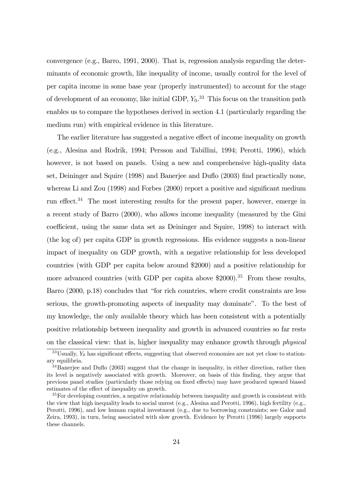convergence (e.g., Barro, 1991, 2000). That is, regression analysis regarding the determinants of economic growth, like inequality of income, usually control for the level of per capita income in some base year (properly instrumented) to account for the stage of development of an economy, like initial GDP,  $Y_0$ <sup>33</sup>. This focus on the transition path enables us to compare the hypotheses derived in section 4.1 (particularly regarding the medium run) with empirical evidence in this literature.

The earlier literature has suggested a negative effect of income inequality on growth (e.g., Alesina and Rodrik, 1994; Persson and Tabillini, 1994; Perotti, 1996), which however, is not based on panels. Using a new and comprehensive high-quality data set, Deininger and Squire (1998) and Banerjee and Duflo (2003) find practically none, whereas Li and Zou (1998) and Forbes (2000) report a positive and significant medium run effect.<sup>34</sup> The most interesting results for the present paper, however, emerge in a recent study of Barro (2000), who allows income inequality (measured by the Gini coefficient, using the same data set as Deininger and Squire, 1998) to interact with (the log of) per capita GDP in growth regressions. His evidence suggests a non-linear impact of inequality on GDP growth, with a negative relationship for less developed countries (with GDP per capita below around \$2000) and a positive relationship for more advanced countries (with GDP per capita above  $$2000$ ).<sup>35</sup> From these results, Barro  $(2000, p.18)$  concludes that "for rich countries, where credit constraints are less serious, the growth-promoting aspects of inequality may dominateî. To the best of my knowledge, the only available theory which has been consistent with a potentially positive relationship between inequality and growth in advanced countries so far rests on the classical view: that is, higher inequality may enhance growth through physical

 $33$ Usually,  $Y_0$  has significant effects, suggesting that observed economies are not yet close to stationary equilibria.

 $34$ Banerjee and Duflo (2003) suggest that the change in inequality, in either direction, rather then its level is negatively associated with growth. Moreover, on basis of this finding, they argue that previous panel studies (particularly those relying on fixed effects) may have produced upward biased estimates of the effect of inequality on growth.

 $35$  For developing countries, a negative relationship between inequality and growth is consistent with the view that high inequality leads to social unrest (e.g., Alesina and Perotti, 1996), high fertility (e.g., Perotti, 1996), and low human capital investment (e.g., due to borrowing constraints; see Galor and Zeira, 1993), in turn, being associated with slow growth. Evidence by Perotti (1996) largely supports these channels.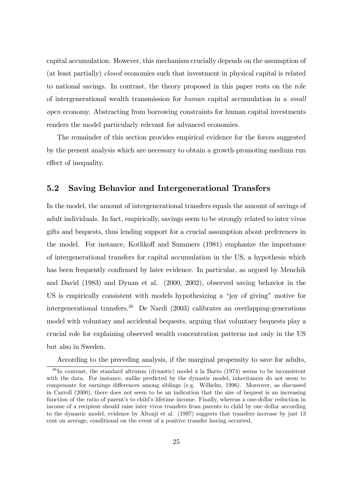capital accumulation. However, this mechanism crucially depends on the assumption of (at least partially) closed economies such that investment in physical capital is related to national savings. In contrast, the theory proposed in this paper rests on the role of intergenerational wealth transmission for human capital accumulation in a small open economy. Abstracting from borrowing constraints for human capital investments renders the model particularly relevant for advanced economies.

The remainder of this section provides empirical evidence for the forces suggested by the present analysis which are necessary to obtain a growth-promoting medium run effect of inequality.

#### 5.2 Saving Behavior and Intergenerational Transfers

In the model, the amount of intergenerational transfers equals the amount of savings of adult individuals. In fact, empirically, savings seem to be strongly related to inter vivos gifts and bequests, thus lending support for a crucial assumption about preferences in the model. For instance, Kotlikoff and Summers (1981) emphasize the importance of intergenerational transfers for capital accumulation in the US, a hypothesis which has been frequently confirmed by later evidence. In particular, as argued by Menchik and David (1983) and Dynan et al. (2000, 2002), observed saving behavior in the US is empirically consistent with models hypothesizing a "joy of giving" motive for intergenerational transfers.<sup>36</sup> De Nardi (2003) calibrates an overlapping-generations model with voluntary and accidental bequests, arguing that voluntary bequests play a crucial role for explaining observed wealth concentration patterns not only in the US but also in Sweden.

According to the preceding analysis, if the marginal propensity to save for adults,

 $36$  In contrast, the standard altruism (dynastic) model a la Barro (1974) seems to be inconsistent with the data. For instance, unlike predicted by the dynastic model, inheritances do not seem to compensate for earnings differences among siblings (e.g. Wilhelm, 1996). Moreover, as discussed in Carroll (2000), there does not seem to be an indication that the size of bequest is an increasing function of the ratio of parent's to child's lifetime income. Finally, whereas a one-dollar reduction in income of a recipient should raise inter vivos transfers from parents to child by one dollar according to the dynastic model, evidence by Altonji et al. (1997) suggests that transfers increase by just 13 cent on average, conditional on the event of a positive transfer having occurred.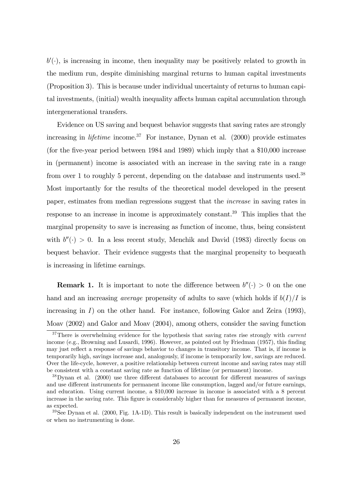$b'(\cdot)$ , is increasing in income, then inequality may be positively related to growth in the medium run, despite diminishing marginal returns to human capital investments (Proposition 3). This is because under individual uncertainty of returns to human capital investments, (initial) wealth inequality affects human capital accumulation through intergenerational transfers.

Evidence on US saving and bequest behavior suggests that saving rates are strongly increasing in *lifetime* income.<sup>37</sup> For instance, Dynan et al.  $(2000)$  provide estimates (for the five-year period between 1984 and 1989) which imply that a \$10,000 increase in (permanent) income is associated with an increase in the saving rate in a range from over 1 to roughly 5 percent, depending on the database and instruments used.<sup>38</sup> Most importantly for the results of the theoretical model developed in the present paper, estimates from median regressions suggest that the increase in saving rates in response to an increase in income is approximately constant.<sup>39</sup> This implies that the marginal propensity to save is increasing as function of income, thus, being consistent with  $b''(.) > 0$ . In a less recent study, Menchik and David (1983) directly focus on bequest behavior. Their evidence suggests that the marginal propensity to bequeath is increasing in lifetime earnings.

**Remark 1.** It is important to note the difference between  $b''(.) > 0$  on the one hand and an increasing *average* propensity of adults to save (which holds if  $b(I)/I$  is increasing in  $I$ ) on the other hand. For instance, following Galor and Zeira (1993), Moav (2002) and Galor and Moav (2004), among others, consider the saving function

<sup>&</sup>lt;sup>37</sup>There is overwhelming evidence for the hypothesis that saving rates rise strongly with *current* income (e.g., Browning and Lusardi, 1996). However, as pointed out by Friedman (1957), this finding may just reflect a response of savings behavior to changes in transitory income. That is, if income is temporarily high, savings increase and, analogously, if income is temporarily low, savings are reduced. Over the life-cycle, however, a positive relationship between current income and saving rates may still be consistent with a constant saving rate as function of lifetime (or permanent) income.

<sup>38</sup>Dynan et al. (2000) use three different databases to account for different measures of savings and use different instruments for permanent income like consumption, lagged and/or future earnings, and education. Using current income, a \$10,000 increase in income is associated with a 8 percent increase in the saving rate. This figure is considerably higher than for measures of permanent income, as expected.

 $39$ See Dynan et al. (2000, Fig. 1A-1D). This result is basically independent on the instrument used or when no instrumenting is done.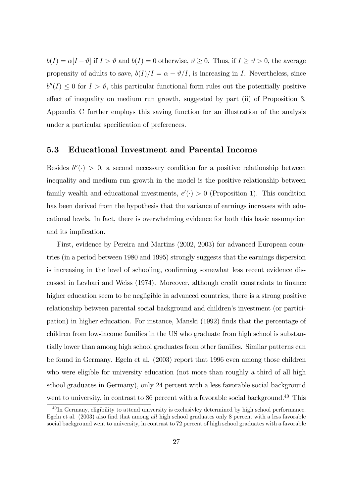$b(I) = \alpha[I - \vartheta]$  if  $I > \vartheta$  and  $b(I) = 0$  otherwise,  $\vartheta \geq 0$ . Thus, if  $I \geq \vartheta > 0$ , the average propensity of adults to save,  $b(I)/I = \alpha - \vartheta/I$ , is increasing in I. Nevertheless, since  $b''(I) \leq 0$  for  $I > \vartheta$ , this particular functional form rules out the potentially positive effect of inequality on medium run growth, suggested by part (ii) of Proposition 3. Appendix C further employs this saving function for an illustration of the analysis under a particular specification of preferences.

#### 5.3 Educational Investment and Parental Income

Besides  $b''(.) > 0$ , a second necessary condition for a positive relationship between inequality and medium run growth in the model is the positive relationship between family wealth and educational investments,  $e'(\cdot) > 0$  (Proposition 1). This condition has been derived from the hypothesis that the variance of earnings increases with educational levels. In fact, there is overwhelming evidence for both this basic assumption and its implication.

First, evidence by Pereira and Martins (2002, 2003) for advanced European countries (in a period between 1980 and 1995) strongly suggests that the earnings dispersion is increasing in the level of schooling, confirming somewhat less recent evidence discussed in Levhari and Weiss (1974). Moreover, although credit constraints to finance higher education seem to be negligible in advanced countries, there is a strong positive relationship between parental social background and children's investment (or participation) in higher education. For instance, Manski (1992) finds that the percentage of children from low-income families in the US who graduate from high school is substantially lower than among high school graduates from other families. Similar patterns can be found in Germany. Egeln et al. (2003) report that 1996 even among those children who were eligible for university education (not more than roughly a third of all high school graduates in Germany), only 24 percent with a less favorable social background went to university, in contrast to 86 percent with a favorable social background.<sup>40</sup> This

 $^{40}$  In Germany, eligibility to attend university is exclusivley determined by high school performance. Egeln et al. (2003) also find that among all high school graduates only 8 percent with a less favorable social background went to university, in contrast to 72 percent of high school graduates with a favorable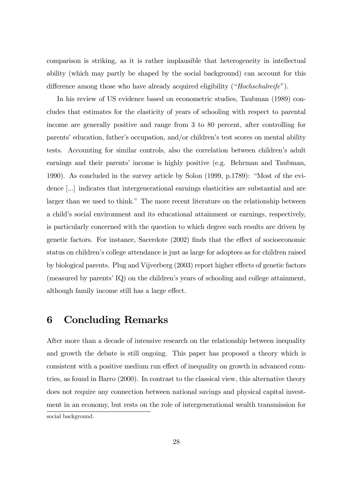comparison is striking, as it is rather implausible that heterogeneity in intellectual ability (which may partly be shaped by the social background) can account for this difference among those who have already acquired eligibility ("*Hochschulreife*").

In his review of US evidence based on econometric studies, Taubman (1989) concludes that estimates for the elasticity of years of schooling with respect to parental income are generally positive and range from 3 to 80 percent, after controlling for parents' education, father's occupation, and/or children's test scores on mental ability tests. Accounting for similar controls, also the correlation between children's adult earnings and their parents' income is highly positive (e.g. Behrman and Taubman, 1990). As concluded in the survey article by Solon  $(1999, p.1789)$ : "Most of the evidence [...] indicates that intergenerational earnings elasticities are substantial and are larger than we used to think." The more recent literature on the relationship between a child's social environment and its educational attainment or earnings, respectively, is particularly concerned with the question to which degree such results are driven by genetic factors. For instance, Sacerdote (2002) finds that the effect of socioeconomic status on children's college attendance is just as large for adoptees as for children raised by biological parents. Plug and Vijverberg (2003) report higher effects of genetic factors (measured by parents'  $IQ$ ) on the children's years of schooling and college attainment, although family income still has a large effect.

## 6 Concluding Remarks

After more than a decade of intensive research on the relationship between inequality and growth the debate is still ongoing. This paper has proposed a theory which is consistent with a positive medium run effect of inequality on growth in advanced countries, as found in Barro (2000). In contrast to the classical view, this alternative theory does not require any connection between national savings and physical capital investment in an economy, but rests on the role of intergenerational wealth transmission for social background.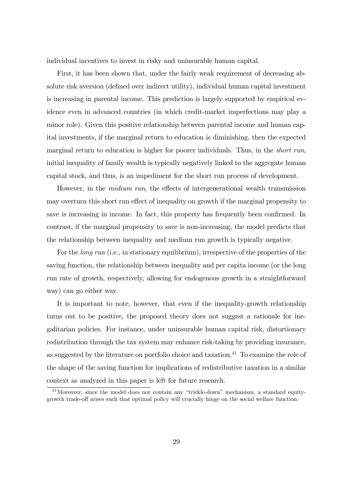individual incentives to invest in risky and uninsurable human capital.

First, it has been shown that, under the fairly weak requirement of decreasing absolute risk aversion (defined over indirect utility), individual human capital investment is increasing in parental income. This prediction is largely supported by empirical evidence even in advanced countries (in which credit-market imperfections may play a minor role). Given this positive relationship between parental income and human capital investments, if the marginal return to education is diminishing, then the expected marginal return to education is higher for poorer individuals. Thus, in the *short run*, initial inequality of family wealth is typically negatively linked to the aggregate human capital stock, and thus, is an impediment for the short run process of development.

However, in the medium run, the effects of intergenerational wealth transmission may overturn this short run effect of inequality on growth if the marginal propensity to save is increasing in income. In fact, this property has frequently been confirmed. In contrast, if the marginal propensity to save is non-increasing, the model predicts that the relationship between inequality and medium run growth is typically negative.

For the long run (i.e., in stationary equilibrium), irrespective of the properties of the saving function, the relationship between inequality and per capita income (or the long run rate of growth, respectively, allowing for endogenous growth in a straightforward way) can go either way.

It is important to note, however, that even if the inequality-growth relationship turns out to be positive, the proposed theory does not suggest a rationale for inegalitarian policies. For instance, under uninsurable human capital risk, distortionary redistribution through the tax system may enhance risk-taking by providing insurance, as suggested by the literature on portfolio choice and taxation.<sup>41</sup> To examine the role of the shape of the saving function for implications of redistributive taxation in a similar context as analyzed in this paper is left for future research.

 $41$ Moreover, since the model does not contain any "trickle-down" mechanism, a standard equitygrowth trade-off arises such that optimal policy will crucially hinge on the social welfare function.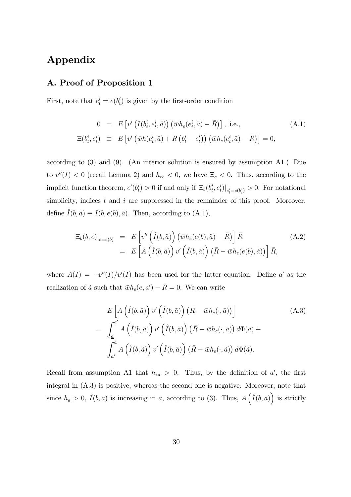## Appendix

#### A. Proof of Proposition 1

First, note that  $e_t^i = e(b_t^i)$  is given by the first-order condition

$$
0 = E\left[v'\left(I(b_t^i, e_t^i, \tilde{a})\right)\left(\bar{w}h_e(e_t^i, \tilde{a}) - \bar{R}\right)\right], \text{ i.e.,}
$$
\n
$$
\Xi(b_t^i, e_t^i) \equiv E\left[v'\left(\bar{w}h(e_t^i, \tilde{a}) + \bar{R}\left(b_t^i - e_t^i\right)\right)\left(\bar{w}h_e(e_t^i, \tilde{a}) - \bar{R}\right)\right] = 0,
$$
\n(A.1)

according to (3) and (9). (An interior solution is ensured by assumption A1.) Due to  $v''(I) < 0$  (recall Lemma 2) and  $h_{ee} < 0$ , we have  $\Xi_e < 0$ . Thus, according to the implicit function theorem,  $e'(b_t^i) > 0$  if and only if  $\Xi_b(b_t^i, e_t^i)|_{e_t^i = e(b_t^i)} > 0$ . For notational simplicity, indices  $t$  and  $i$  are suppressed in the remainder of this proof. Moreover, define  $\hat{I}(b, \tilde{a}) \equiv I(b, e(b), \tilde{a})$ . Then, according to  $(A.1)$ ,

$$
\begin{aligned} \left. \Xi_b(b,e) \right|_{e=e(b)} &= E\left[ v''\left(\hat{I}(b,\tilde{a})\right)\left(\bar{w}h_e(e(b),\tilde{a}) - \bar{R}\right) \right] \bar{R} \\ &= E\left[ A\left(\hat{I}(b,\tilde{a})\right)v'\left(\hat{I}(b,\tilde{a})\right)\left(\bar{R} - \bar{w}h_e(e(b),\tilde{a})\right) \right] \bar{R}, \end{aligned} \tag{A.2}
$$

where  $A(I) = -v''(I)/v'(I)$  has been used for the latter equation. Define a' as the realization of  $\tilde{a}$  such that  $\bar{w}h_e(e, a') - \bar{R} = 0$ . We can write

$$
E\left[A\left(\hat{I}(b,\tilde{a})\right)v'\left(\hat{I}(b,\tilde{a})\right)\left(\bar{R}-\bar{w}h_{e}(\cdot,\tilde{a})\right)\right]
$$
\n
$$
=\int_{\underline{a}}^{a'} A\left(\hat{I}(b,\tilde{a})\right)v'\left(\hat{I}(b,\tilde{a})\right)\left(\bar{R}-\bar{w}h_{e}(\cdot,\tilde{a})\right)d\Phi(\tilde{a}) +
$$
\n
$$
\int_{a'}^{\bar{a}} A\left(\hat{I}(b,\tilde{a})\right)v'\left(\hat{I}(b,\tilde{a})\right)\left(\bar{R}-\bar{w}h_{e}(\cdot,\tilde{a})\right)d\Phi(\tilde{a}).
$$
\n(A.3)

Recall from assumption A1 that  $h_{ea} > 0$ . Thus, by the definition of a', the first integral in (A.3) is positive, whereas the second one is negative. Moreover, note that since  $h_a > 0$ ,  $\hat{I}(b, a)$  is increasing in a, according to (3). Thus,  $A(\hat{I}(b, a))$  is strictly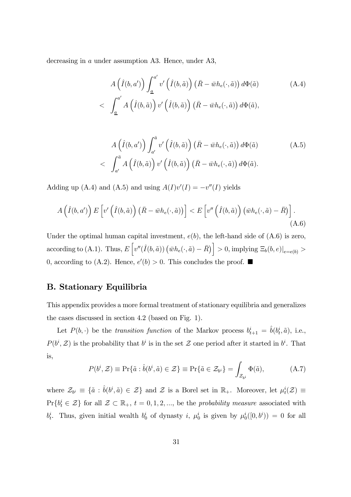decreasing in a under assumption A3. Hence, under A3,

$$
A\left(\hat{I}(b,a')\right) \int_{\underline{a}}^{a'} v'\left(\hat{I}(b,\tilde{a})\right) \left(\bar{R} - \bar{w}h_e(\cdot,\tilde{a})\right) d\Phi(\tilde{a}) \tag{A.4}
$$
\n
$$
<\quad \int_{\underline{a}}^{a'} A\left(\hat{I}(b,\tilde{a})\right) v'\left(\hat{I}(b,\tilde{a})\right) \left(\bar{R} - \bar{w}h_e(\cdot,\tilde{a})\right) d\Phi(\tilde{a}),
$$

$$
A\left(\hat{I}(b,a')\right) \int_{a'}^{\bar{a}} v'\left(\hat{I}(b,\tilde{a})\right) \left(\bar{R} - \bar{w}h_e(\cdot,\tilde{a})\right) d\Phi(\tilde{a})
$$
\n
$$
\left\langle \int_{a'}^{\bar{a}} A\left(\hat{I}(b,\tilde{a})\right) v'\left(\hat{I}(b,\tilde{a})\right) \left(\bar{R} - \bar{w}h_e(\cdot,\tilde{a})\right) d\Phi(\tilde{a}).
$$
\n(A.5)

Adding up (A.4) and (A.5) and using  $A(I)v'(I) = -v''(I)$  yields

$$
A\left(\hat{I}(b,a')\right) E\left[v'\left(\hat{I}(b,\tilde{a})\right) \left(\bar{R} - \bar{w}h_e(\cdot,\tilde{a})\right)\right] < E\left[v''\left(\hat{I}(b,\tilde{a})\right) \left(\bar{w}h_e(\cdot,\tilde{a}) - \bar{R}\right)\right].\tag{A.6}
$$

Under the optimal human capital investment,  $e(b)$ , the left-hand side of  $(A.6)$  is zero, according to (A.1). Thus,  $E\left[v''(\hat{I}(b, \tilde{a}))\left(\bar{w}h_e(\cdot, \tilde{a}) - \bar{R}\right)\right] > 0$ , implying  $\Xi_b(b, e)|_{e=e(b)} >$ 0, according to (A.2). Hence,  $e'(b) > 0$ . This concludes the proof.  $\blacksquare$ 

#### B. Stationary Equilibria

This appendix provides a more formal treatment of stationary equilibria and generalizes the cases discussed in section 4.2 (based on Fig. 1).

Let  $P(b, \cdot)$  be the transition function of the Markov process  $b_{t+1}^i = \hat{b}(b_t^i, \tilde{a})$ , i.e.,  $P(b^i, \mathcal{Z})$  is the probability that  $b^i$  is in the set  $\mathcal Z$  one period after it started in  $b^i$ . That is,

$$
P(b^i, \mathcal{Z}) \equiv \Pr{\tilde{a} : \hat{b}(b^i, \tilde{a}) \in \mathcal{Z}} \equiv \Pr{\tilde{a} \in \mathcal{Z}_{b^i}} = \int_{\mathcal{Z}_{b^i}} \Phi(\tilde{a}), \tag{A.7}
$$

where  $\mathcal{Z}_{b^i} \equiv \{\tilde{a} : \hat{b}(b^i, \tilde{a}) \in \mathcal{Z}\}\$  and  $\mathcal{Z}$  is a Borel set in  $\mathbb{R}_+$ . Moreover, let  $\mu_t^i(\mathcal{Z}) \equiv$  $Pr{\lbrace b_i^i \in \mathcal{Z} \rbrace}$  for all  $\mathcal{Z} \subset \mathbb{R}_+$ ,  $t = 0, 1, 2, \dots$ , be the probability measure associated with  $b_t^i$ . Thus, given initial wealth  $b_0^i$  of dynasty i,  $\mu_0^i$  is given by  $\mu_0^i([0,b^i)) = 0$  for all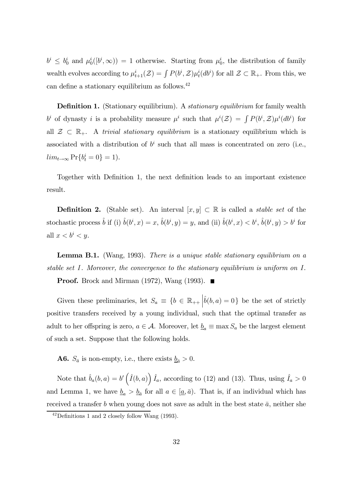$b^i \leq b_0^i$  and  $\mu_0^i([b^i,\infty)) = 1$  otherwise. Starting from  $\mu_0^i$ , the distribution of family wealth evolves according to  $\mu_{t+1}^i(\mathcal{Z}) = \int P(b^i, \mathcal{Z}) \mu_t^i(db^i)$  for all  $\mathcal{Z} \subset \mathbb{R}_+$ . From this, we can define a stationary equilibrium as follows.42

**Definition 1.** (Stationary equilibrium). A *stationary equilibrium* for family wealth  $b^i$  of dynasty i is a probability measure  $\mu^i$  such that  $\mu^i(\mathcal{Z}) = \int P(b^i, \mathcal{Z}) \mu^i(db^i)$  for all  $\mathcal{Z} \subset \mathbb{R}_+$ . A trivial stationary equilibrium is a stationary equilibrium which is associated with a distribution of  $b^i$  such that all mass is concentrated on zero (i.e.,  $lim_{t\to\infty} \Pr\{b_t^i = 0\} = 1$ .

Together with Definition 1, the next definition leads to an important existence result.

**Definition 2.** (Stable set). An interval  $[x, y] \subset \mathbb{R}$  is called a *stable set* of the stochastic process  $\hat{b}$  if (i)  $\hat{b}(b^i, x) = x$ ,  $\hat{b}(b^i, y) = y$ , and (ii)  $\hat{b}(b^i, x) < b^i$ ,  $\hat{b}(b^i, y) > b^i$  for all  $x < b^i < y$ .

Lemma B.1. (Wang, 1993). There is a unique stable stationary equilibrium on a stable set I. Moreover, the convergence to the stationary equilibrium is uniform on I.

**Proof.** Brock and Mirman (1972), Wang (1993).  $\blacksquare$ 

Given these preliminaries, let  $S_a \equiv \{b \in \mathbb{R}_{++} | \hat{b}(b, a) = 0\}$  be the set of strictly positive transfers received by a young individual, such that the optimal transfer as adult to her offspring is zero,  $a \in \mathcal{A}$ . Moreover, let  $\underline{b}_a \equiv \max S_a$  be the largest element of such a set. Suppose that the following holds.

**A6.**  $S_{\bar{a}}$  is non-empty, i.e., there exists  $\underline{b}_{\bar{a}} > 0$ .

Note that  $\hat{b}_a(b,a) = b'\left(\hat{I}(b,a)\right)\hat{I}_a$ , according to (12) and (13). Thus, using  $\hat{I}_a > 0$ and Lemma 1, we have  $\underline{b}_a > \underline{b}_{\overline{a}}$  for all  $a \in [\underline{a}, \overline{a})$ . That is, if an individual which has received a transfer b when young does not save as adult in the best state  $\bar{a}$ , neither she

<sup>42</sup>Definitions 1 and 2 closely follow Wang (1993).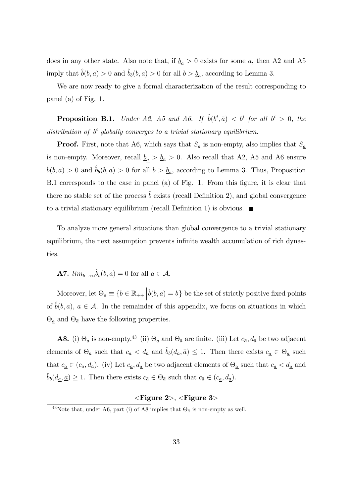does in any other state. Also note that, if  $\underline{b}_a > 0$  exists for some a, then A2 and A5 imply that  $b(b, a) > 0$  and  $b<sub>b</sub>(b, a) > 0$  for all  $b > b<sub>a</sub>$ , according to Lemma 3.

We are now ready to give a formal characterization of the result corresponding to panel (a) of Fig. 1.

**Proposition B.1.** Under A2, A5 and A6. If  $\hat{b}(b^i, \bar{a}) < b^i$  for all  $b^i > 0$ , the distribution of  $b^i$  globally converges to a trivial stationary equilibrium.

**Proof.** First, note that A6, which says that  $S_{\bar{a}}$  is non-empty, also implies that  $S_a$ is non-empty. Moreover, recall  $\underline{b}_a > \underline{b}_{\overline{a}} > 0$ . Also recall that A2, A5 and A6 ensure  $\hat{b}(b, a) > 0$  and  $\hat{b}_b(b, a) > 0$  for all  $b > \underline{b}_a$ , according to Lemma 3. Thus, Proposition B.1 corresponds to the case in panel (a) of Fig. 1. From this figure, it is clear that there no stable set of the process  $\hat{b}$  exists (recall Definition 2), and global convergence to a trivial stationary equilibrium (recall Definition 1) is obvious.  $\blacksquare$ 

To analyze more general situations than global convergence to a trivial stationary equilibrium, the next assumption prevents infinite wealth accumulation of rich dynasties.

**A7.**  $\lim_{b\to\infty} \hat{b}_b(b, a) = 0$  for all  $a \in \mathcal{A}$ .

Moreover, let  $\Theta_a \equiv \{b \in \mathbb{R}_{++} | \hat{b}(b, a) = b\}$  be the set of strictly positive fixed points of  $\tilde{b}(b, a)$ ,  $a \in \mathcal{A}$ . In the remainder of this appendix, we focus on situations in which  $\Theta_{\underline{a}}$  and  $\Theta_{\bar{a}}$  have the following properties.

**A8.** (i)  $\Theta_{\underline{a}}$  is non-empty.<sup>43</sup> (ii)  $\Theta_{\underline{a}}$  and  $\Theta_{\overline{a}}$  are finite. (iii) Let  $c_{\overline{a}}, d_{\overline{a}}$  be two adjacent elements of  $\Theta_{\bar{a}}$  such that  $c_{\bar{a}} < d_{\bar{a}}$  and  $\hat{b}_b(d_{\bar{a}}, \bar{a}) \leq 1$ . Then there exists  $c_{\underline{a}} \in \Theta_{\underline{a}}$  such that  $c_{\underline{a}} \in (c_{\bar{a}}, d_{\bar{a}})$ . (iv) Let  $c_{\underline{a}}, d_{\underline{a}}$  be two adjacent elements of  $\Theta_{\underline{a}}$  such that  $c_{\underline{a}} < d_{\underline{a}}$  and  $\hat{b}_b(d_{\underline{a}}, \underline{a}) \geq 1$ . Then there exists  $c_{\overline{a}} \in \Theta_{\overline{a}}$  such that  $c_{\overline{a}} \in (c_{\underline{a}}, d_{\underline{a}})$ .

#### $\langle$ Figure 2>,  $\langle$ Figure 3>

<sup>&</sup>lt;sup>43</sup>Note that, under A6, part (i) of A8 implies that  $\Theta_{\bar{a}}$  is non-empty as well.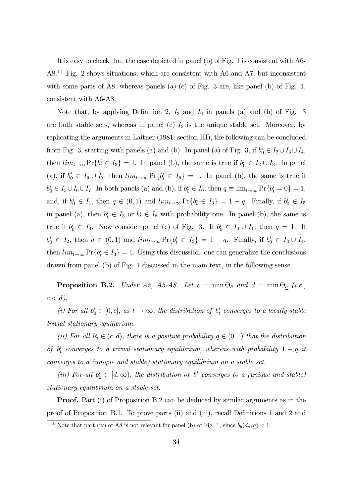It is easy to check that the case depicted in panel (b) of Fig. 1 is consistent with A6- A8.44 Fig. 2 shows situations, which are consistent with A6 and A7, but inconsistent with some parts of A8, whereas panels  $(a)-(c)$  of Fig. 3 are, like panel  $(b)$  of Fig. 1, consistent with A6-A8.

Note that, by applying Definition 2,  $I_3$  and  $I_6$  in panels (a) and (b) of Fig. 3 are both stable sets, whereas in panel (c)  $I_3$  is the unique stable set. Moreover, by replicating the arguments in Laitner (1981; section III), the following can be concluded from Fig. 3, starting with panels (a) and (b). In panel (a) of Fig. 3, if  $b_0^i \in I_2 \cup I_3 \cup I_4$ , then  $\lim_{t\to\infty} \Pr\{b_t^i \in I_3\} = 1$ . In panel (b), the same is true if  $b_0^i \in I_2 \cup I_3$ . In panel (a), if  $b_0^i \in I_6 \cup I_7$ , then  $\lim_{t \to \infty} Pr\{b_t^i \in I_6\} = 1$ . In panel (b), the same is true if  $b_0^i \in I_5 \cup I_6 \cup I_7$ . In both panels (a) and (b), if  $b_0^i \in I_0$ , then  $q \equiv \lim_{t \to \infty} \Pr\{b_t^i = 0\} = 1$ , and, if  $b_0^i \in I_1$ , then  $q \in (0,1)$  and  $\lim_{t\to\infty} \Pr\{b_t^i \in I_3\} = 1-q$ . Finally, if  $b_0^i \in I_5$ in panel (a), then  $b_t^i \in I_3$  or  $b_t^i \in I_6$  with probability one. In panel (b), the same is true if  $b_0^i \in I_4$ . Now consider panel (c) of Fig. 3. If  $b_0^i \in I_0 \cup I_1$ , then  $q = 1$ . If  $b_0^i \in I_2$ , then  $q \in (0,1)$  and  $\lim_{t \to \infty} \Pr\{b_t^i \in I_3\} = 1 - q$ . Finally, if  $b_0^i \in I_3 \cup I_4$ , then  $\lim_{t\to\infty} \Pr\{b_t^i \in I_3\} = 1$ . Using this discussion, one can generalize the conclusions drawn from panel (b) of Fig. 1 discussed in the main text, in the following sense.

**Proposition B.2.** Under A2, A5-A8. Let  $c = \min \Theta_{\bar{a}}$  and  $d = \min \Theta_{\underline{a}}$  (i.e.,  $c < d$ ).

(i) For all  $b_0^i \in [0, c]$ , as  $t \to \infty$ , the distribution of  $b_t^i$  converges to a locally stable trivial stationary equilibrium.

(ii) For all  $b_0^i \in (c, d)$ , there is a positive probability  $q \in (0, 1)$  that the distribution of  $b_t^i$  converges to a trivial stationary equilibrium, whereas with probability  $1-q$  it converges to a (unique and stable) stationary equilibrium on a stable set.

(iii) For all  $b_0^i \in [d, \infty)$ , the distribution of  $b^i$  converges to a (unique and stable) stationary equilibrium on a stable set.

Proof. Part (i) of Proposition B.2 can be deduced by similar arguments as in the proof of Proposition B.1. To prove parts (ii) and (iii), recall Definitions 1 and 2 and

<sup>&</sup>lt;sup>44</sup>Note that part (iv) of A8 is not relevant for panel (b) of Fig. 1, since  $\hat{b}_b(d_{\underline{a}}, \underline{a}) < 1$ .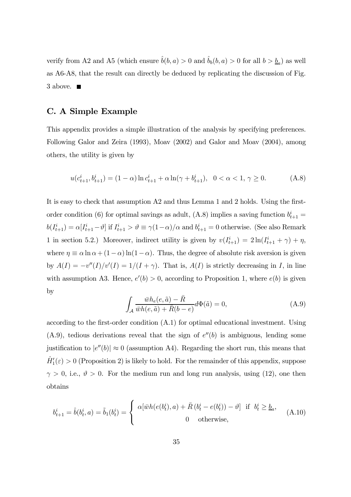verify from A2 and A5 (which ensure  $\hat{b}(b, a) > 0$  and  $\hat{b}_b(b, a) > 0$  for all  $b > \underline{b}_a$ ) as well as A6-A8, that the result can directly be deduced by replicating the discussion of Fig. 3 above.  $\blacksquare$ 

#### C. A Simple Example

This appendix provides a simple illustration of the analysis by specifying preferences. Following Galor and Zeira (1993), Moav (2002) and Galor and Moav (2004), among others, the utility is given by

$$
u(c_{t+1}^i, b_{t+1}^i) = (1 - \alpha) \ln c_{t+1}^i + \alpha \ln(\gamma + b_{t+1}^i), \quad 0 < \alpha < 1, \gamma \ge 0. \tag{A.8}
$$

It is easy to check that assumption A2 and thus Lemma 1 and 2 holds. Using the firstorder condition (6) for optimal savings as adult, (A.8) implies a saving function  $b_{t+1}^i =$  $b(I_{t+1}^i) = \alpha[I_{t+1}^i - \vartheta]$  if  $I_{t+1}^i > \vartheta \equiv \gamma(1-\alpha)/\alpha$  and  $b_{t+1}^i = 0$  otherwise. (See also Remark 1 in section 5.2.) Moreover, indirect utility is given by  $v(I_{t+1}^i) = 2\ln(I_{t+1}^i + \gamma) + \eta$ , where  $\eta \equiv \alpha \ln \alpha + (1 - \alpha) \ln(1 - \alpha)$ . Thus, the degree of absolute risk aversion is given by  $A(I) = -v''(I)/v'(I) = 1/(I + \gamma)$ . That is,  $A(I)$  is strictly decreasing in I, in line with assumption A3. Hence,  $e'(b) > 0$ , according to Proposition 1, where  $e(b)$  is given by

$$
\int_{\mathcal{A}} \frac{\bar{w}h_e(e,\tilde{a}) - \bar{R}}{\bar{w}h(e,\tilde{a}) + \bar{R}(b-e)} d\Phi(\tilde{a}) = 0,
$$
\n(A.9)

according to the first-order condition (A.1) for optimal educational investment. Using  $(A.9)$ , tedious derivations reveal that the sign of  $e''(b)$  is ambiguous, lending some justification to  $|e''(b)| \approx 0$  (assumption A4). Regarding the short run, this means that  $\hat{H}'_1(\varepsilon) > 0$  (Proposition 2) is likely to hold. For the remainder of this appendix, suppose  $\gamma > 0$ , i.e.,  $\vartheta > 0$ . For the medium run and long run analysis, using (12), one then obtains

$$
b_{t+1}^i = \hat{b}(b_t^i, a) = \tilde{b}_1(b_t^i) = \begin{cases} \alpha[\bar{w}h(e(b_t^i), a) + \bar{R}(b_t^i - e(b_t^i)) - \vartheta] & \text{if } b_t^i \ge b_a, \\ 0 & \text{otherwise,} \end{cases}
$$
(A.10)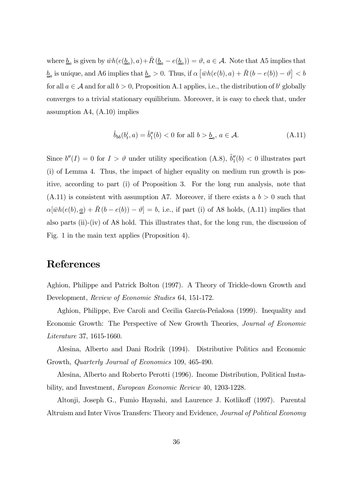where  $\underline{b}_a$  is given by  $\bar{w}h(e(\underline{b}_a), a) + \bar{R}(\underline{b}_a - e(\underline{b}_a)) = \vartheta$ ,  $a \in \mathcal{A}$ . Note that A5 implies that  $\underline{b}_a$  is unique, and A6 implies that  $\underline{b}_a > 0$ . Thus, if  $\alpha \left[ \bar{w}h(e(b), a) + \bar{R}(b - e(b)) - \vartheta \right] < b$ for all  $a \in \mathcal{A}$  and for all  $b > 0$ , Proposition A.1 applies, i.e., the distribution of  $b^i$  globally converges to a trivial stationary equilibrium. Moreover, it is easy to check that, under assumption A4, (A.10) implies

$$
\hat{b}_{bb}(b_t^i, a) = \tilde{b}_1''(b) < 0 \text{ for all } b > \underline{b}_a, \ a \in \mathcal{A}.\tag{A.11}
$$

Since  $b''(I) = 0$  for  $I > \vartheta$  under utility specification (A.8),  $\tilde{b}''_1(b) < 0$  illustrates part (i) of Lemma 4. Thus, the impact of higher equality on medium run growth is positive, according to part (i) of Proposition 3. For the long run analysis, note that  $(A.11)$  is consistent with assumption A7. Moreover, if there exists a  $b > 0$  such that  $\alpha[\bar{w}h(e(b), \underline{a}) + \bar{R}(b - e(b)) - \vartheta] = b$ , i.e., if part (i) of A8 holds, (A.11) implies that also parts (ii)-(iv) of A8 hold. This illustrates that, for the long run, the discussion of Fig. 1 in the main text applies (Proposition 4).

## References

Aghion, Philippe and Patrick Bolton (1997). A Theory of Trickle-down Growth and Development, Review of Economic Studies 64, 151-172.

Aghion, Philippe, Eve Caroli and Cecilia García-Peñalosa (1999). Inequality and Economic Growth: The Perspective of New Growth Theories, Journal of Economic Literature 37, 1615-1660.

Alesina, Alberto and Dani Rodrik (1994). Distributive Politics and Economic Growth, Quarterly Journal of Economics 109, 465-490.

Alesina, Alberto and Roberto Perotti (1996). Income Distribution, Political Instability, and Investment, European Economic Review 40, 1203-1228.

Altonji, Joseph G., Fumio Hayashi, and Laurence J. Kotlikoff (1997). Parental Altruism and Inter Vivos Transfers: Theory and Evidence, Journal of Political Economy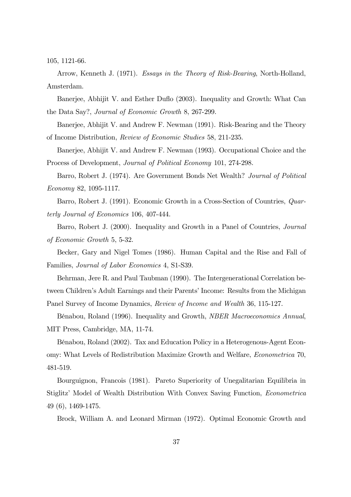105, 1121-66.

Arrow, Kenneth J. (1971). Essays in the Theory of Risk-Bearing, North-Holland, Amsterdam.

Banerjee, Abhijit V. and Esther Duflo (2003). Inequality and Growth: What Can the Data Say?, Journal of Economic Growth 8, 267-299.

Banerjee, Abhijit V. and Andrew F. Newman (1991). Risk-Bearing and the Theory of Income Distribution, Review of Economic Studies 58, 211-235.

Banerjee, Abhijit V. and Andrew F. Newman (1993). Occupational Choice and the Process of Development, Journal of Political Economy 101, 274-298.

Barro, Robert J. (1974). Are Government Bonds Net Wealth? Journal of Political Economy 82, 1095-1117.

Barro, Robert J. (1991). Economic Growth in a Cross-Section of Countries, Quarterly Journal of Economics 106, 407-444.

Barro, Robert J. (2000). Inequality and Growth in a Panel of Countries, Journal of Economic Growth 5, 5-32.

Becker, Gary and Nigel Tomes (1986). Human Capital and the Rise and Fall of Families, Journal of Labor Economics 4, S1-S39.

Behrman, Jere R. and Paul Taubman (1990). The Intergenerational Correlation between Children's Adult Earnings and their Parents' Income: Results from the Michigan Panel Survey of Income Dynamics, Review of Income and Wealth 36, 115-127.

BÈnabou, Roland (1996). Inequality and Growth, NBER Macroeconomics Annual, MIT Press, Cambridge, MA, 11-74.

BÈnabou, Roland (2002). Tax and Education Policy in a Heterogenous-Agent Economy: What Levels of Redistribution Maximize Growth and Welfare, Econometrica 70, 481-519.

Bourguignon, Francois (1981). Pareto Superiority of Unegalitarian Equilibria in Stiglitzí Model of Wealth Distribution With Convex Saving Function, Econometrica 49 (6), 1469-1475.

Brock, William A. and Leonard Mirman (1972). Optimal Economic Growth and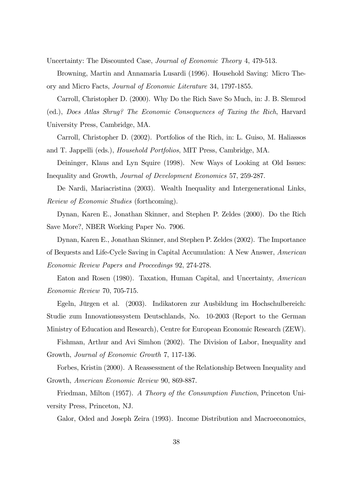Uncertainty: The Discounted Case, Journal of Economic Theory 4, 479-513.

Browning, Martin and Annamaria Lusardi (1996). Household Saving: Micro Theory and Micro Facts, Journal of Economic Literature 34, 1797-1855.

Carroll, Christopher D. (2000). Why Do the Rich Save So Much, in: J. B. Slemrod (ed.), Does Atlas Shrug? The Economic Consequences of Taxing the Rich, Harvard University Press, Cambridge, MA.

Carroll, Christopher D. (2002). Portfolios of the Rich, in: L. Guiso, M. Haliassos and T. Jappelli (eds.), Household Portfolios, MIT Press, Cambridge, MA.

Deininger, Klaus and Lyn Squire (1998). New Ways of Looking at Old Issues: Inequality and Growth, Journal of Development Economics 57, 259-287.

De Nardi, Mariacristina (2003). Wealth Inequality and Intergenerational Links, Review of Economic Studies (forthcoming).

Dynan, Karen E., Jonathan Skinner, and Stephen P. Zeldes (2000). Do the Rich Save More?, NBER Working Paper No. 7906.

Dynan, Karen E., Jonathan Skinner, and Stephen P. Zeldes (2002). The Importance of Bequests and Life-Cycle Saving in Capital Accumulation: A New Answer, American Economic Review Papers and Proceedings 92, 274-278.

Eaton and Rosen (1980). Taxation, Human Capital, and Uncertainty, American Economic Review 70, 705-715.

Egeln, Jürgen et al. (2003). Indikatoren zur Ausbildung im Hochschulbereich: Studie zum Innovationssystem Deutschlands, No. 10-2003 (Report to the German Ministry of Education and Research), Centre for European Economic Research (ZEW).

Fishman, Arthur and Avi Simhon (2002). The Division of Labor, Inequality and Growth, Journal of Economic Growth 7, 117-136.

Forbes, Kristin (2000). A Reassessment of the Relationship Between Inequality and Growth, American Economic Review 90, 869-887.

Friedman, Milton (1957). A Theory of the Consumption Function, Princeton University Press, Princeton, NJ.

Galor, Oded and Joseph Zeira (1993). Income Distribution and Macroeconomics,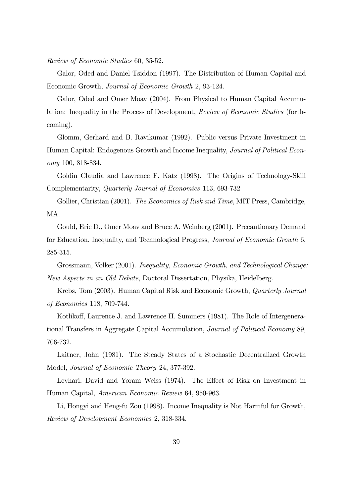Review of Economic Studies 60, 35-52.

Galor, Oded and Daniel Tsiddon (1997). The Distribution of Human Capital and Economic Growth, Journal of Economic Growth 2, 93-124.

Galor, Oded and Omer Moav (2004). From Physical to Human Capital Accumulation: Inequality in the Process of Development, Review of Economic Studies (forthcoming).

Glomm, Gerhard and B. Ravikumar (1992). Public versus Private Investment in Human Capital: Endogenous Growth and Income Inequality, *Journal of Political Econ*omy 100, 818-834.

Goldin Claudia and Lawrence F. Katz (1998). The Origins of Technology-Skill Complementarity, Quarterly Journal of Economics 113, 693-732

Gollier, Christian (2001). The Economics of Risk and Time, MIT Press, Cambridge, MA.

Gould, Eric D., Omer Moav and Bruce A. Weinberg (2001). Precautionary Demand for Education, Inequality, and Technological Progress, Journal of Economic Growth 6, 285-315.

Grossmann, Volker (2001). Inequality, Economic Growth, and Technological Change: New Aspects in an Old Debate, Doctoral Dissertation, Physika, Heidelberg.

Krebs, Tom (2003). Human Capital Risk and Economic Growth, Quarterly Journal of Economics 118, 709-744.

Kotlikoff, Laurence J. and Lawrence H. Summers (1981). The Role of Intergenerational Transfers in Aggregate Capital Accumulation, Journal of Political Economy 89, 706-732.

Laitner, John (1981). The Steady States of a Stochastic Decentralized Growth Model, Journal of Economic Theory 24, 377-392.

Levhari, David and Yoram Weiss (1974). The Effect of Risk on Investment in Human Capital, American Economic Review 64, 950-963.

Li, Hongyi and Heng-fu Zou (1998). Income Inequality is Not Harmful for Growth, Review of Development Economics 2, 318-334.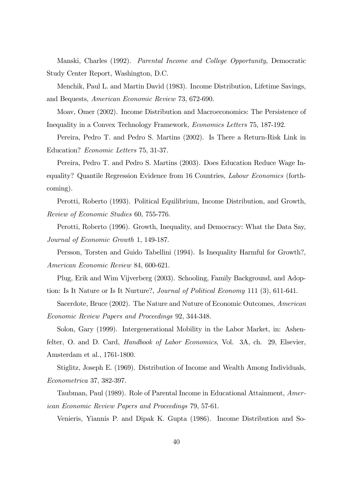Manski, Charles (1992). Parental Income and College Opportunity, Democratic Study Center Report, Washington, D.C.

Menchik, Paul L. and Martin David (1983). Income Distribution, Lifetime Savings, and Bequests, American Economic Review 73, 672-690.

Moav, Omer (2002). Income Distribution and Macroeconomics: The Persistence of Inequality in a Convex Technology Framework, Economics Letters 75, 187-192.

Pereira, Pedro T. and Pedro S. Martins (2002). Is There a Return-Risk Link in Education? Economic Letters 75, 31-37.

Pereira, Pedro T. and Pedro S. Martins (2003). Does Education Reduce Wage Inequality? Quantile Regression Evidence from 16 Countries, Labour Economics (forthcoming).

Perotti, Roberto (1993). Political Equilibrium, Income Distribution, and Growth, Review of Economic Studies 60, 755-776.

Perotti, Roberto (1996). Growth, Inequality, and Democracy: What the Data Say, Journal of Economic Growth 1, 149-187.

Persson, Torsten and Guido Tabellini (1994). Is Inequality Harmful for Growth?, American Economic Review 84, 600-621.

Plug, Erik and Wim Vijverberg (2003). Schooling, Family Background, and Adoption: Is It Nature or Is It Nurture?, *Journal of Political Economy* 111 (3), 611-641.

Sacerdote, Bruce (2002). The Nature and Nuture of Economic Outcomes, American Economic Review Papers and Proceedings 92, 344-348.

Solon, Gary (1999). Intergenerational Mobility in the Labor Market, in: Ashenfelter, O. and D. Card, *Handbook of Labor Economics*, Vol. 3A, ch. 29, Elsevier, Amsterdam et al., 1761-1800.

Stiglitz, Joseph E. (1969). Distribution of Income and Wealth Among Individuals, Econometrica 37, 382-397.

Taubman, Paul (1989). Role of Parental Income in Educational Attainment, American Economic Review Papers and Proceedings 79, 57-61.

Venieris, Yiannis P. and Dipak K. Gupta (1986). Income Distribution and So-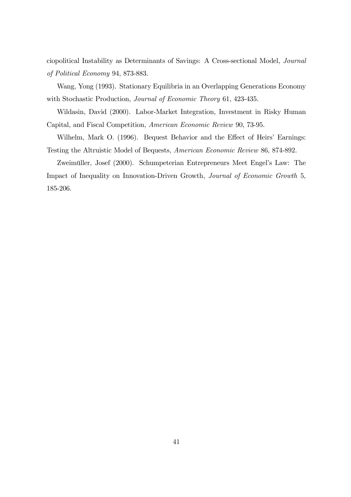ciopolitical Instability as Determinants of Savings: A Cross-sectional Model, Journal of Political Economy 94, 873-883.

Wang, Yong (1993). Stationary Equilibria in an Overlapping Generations Economy with Stochastic Production, Journal of Economic Theory 61, 423-435.

Wildasin, David (2000). Labor-Market Integration, Investment in Risky Human Capital, and Fiscal Competition, American Economic Review 90, 73-95.

Wilhelm, Mark O. (1996). Bequest Behavior and the Effect of Heirs' Earnings: Testing the Altruistic Model of Bequests, American Economic Review 86, 874-892.

Zweimüller, Josef (2000). Schumpeterian Entrepreneurs Meet Engel's Law: The Impact of Inequality on Innovation-Driven Growth, Journal of Economic Growth 5, 185-206.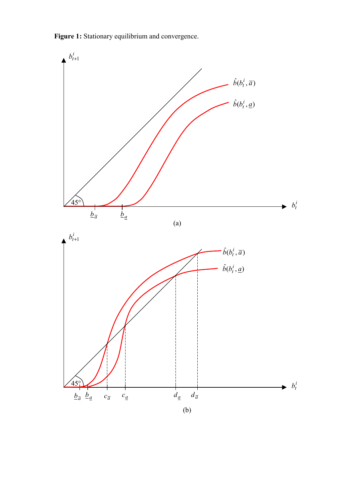Figure 1: Stationary equilibrium and convergence.

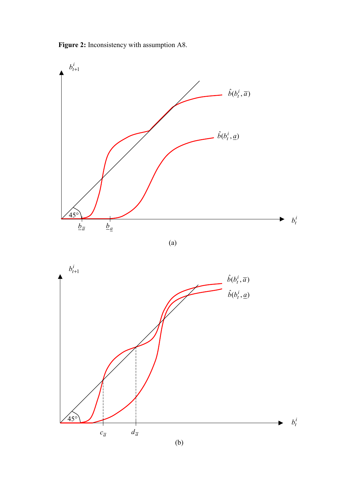**Figure 2:** Inconsistency with assumption A8.



(a)

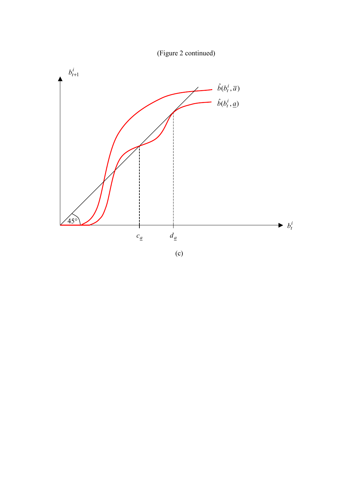

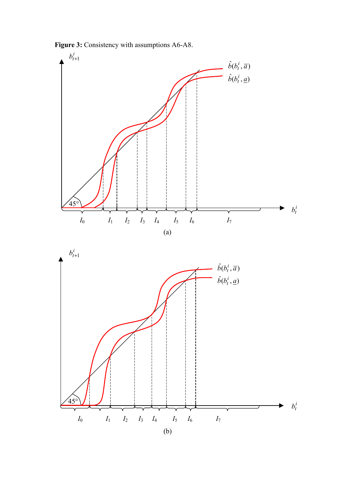**Figure 3:** Consistency with assumptions A6-A8.



(b)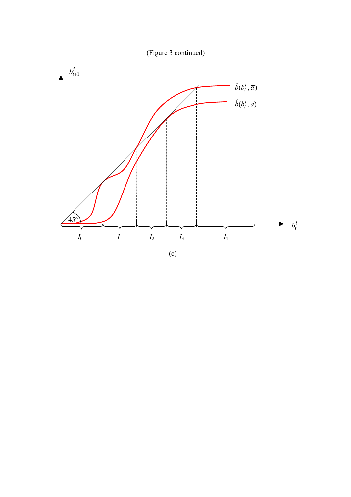